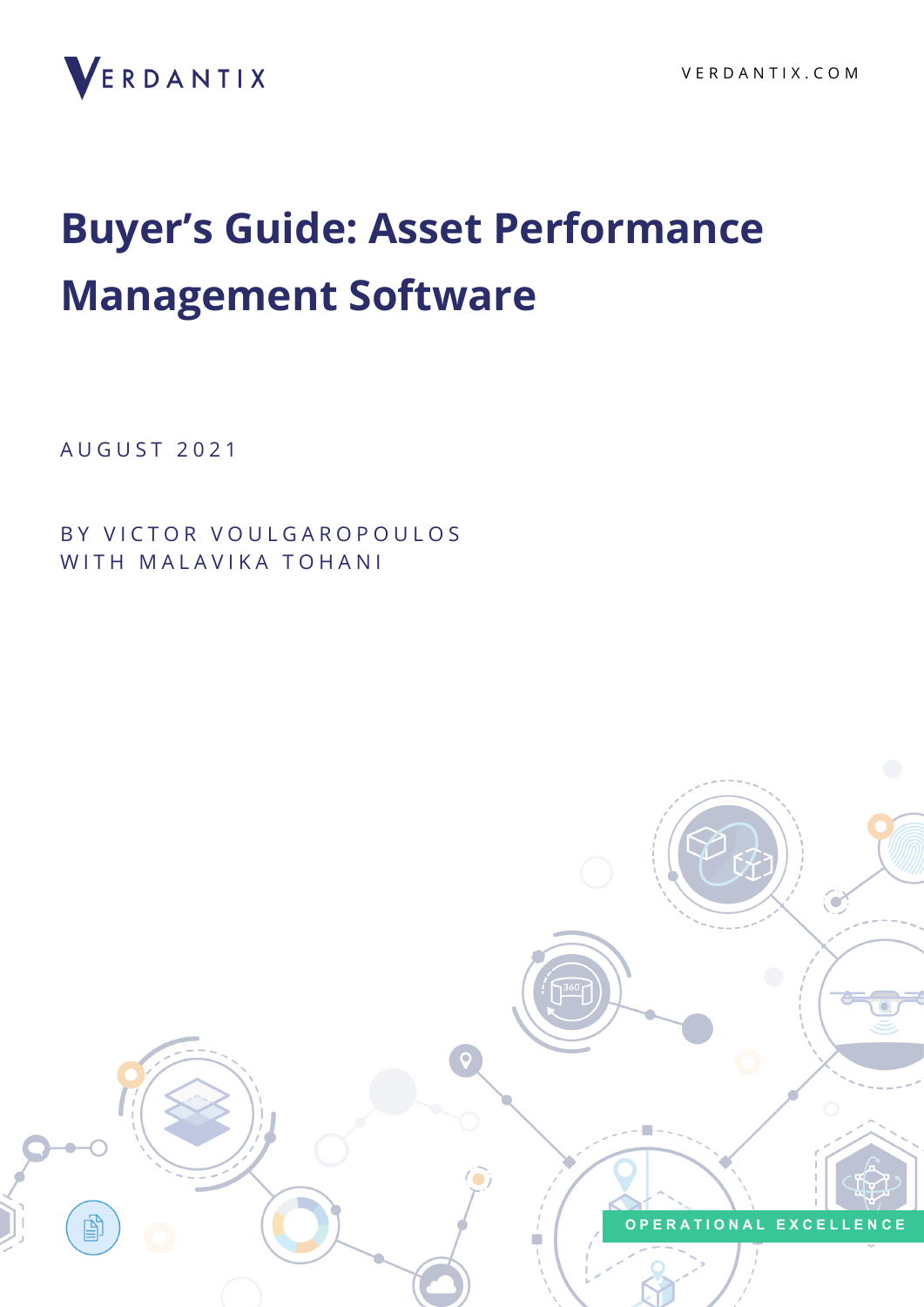

# **Buyer's Guide: Asset Performance Management Software**

A U G U S T 2 0 2 1

BY VICTOR VOULGAROPOULOS WITH MALAVIKA TOHANI

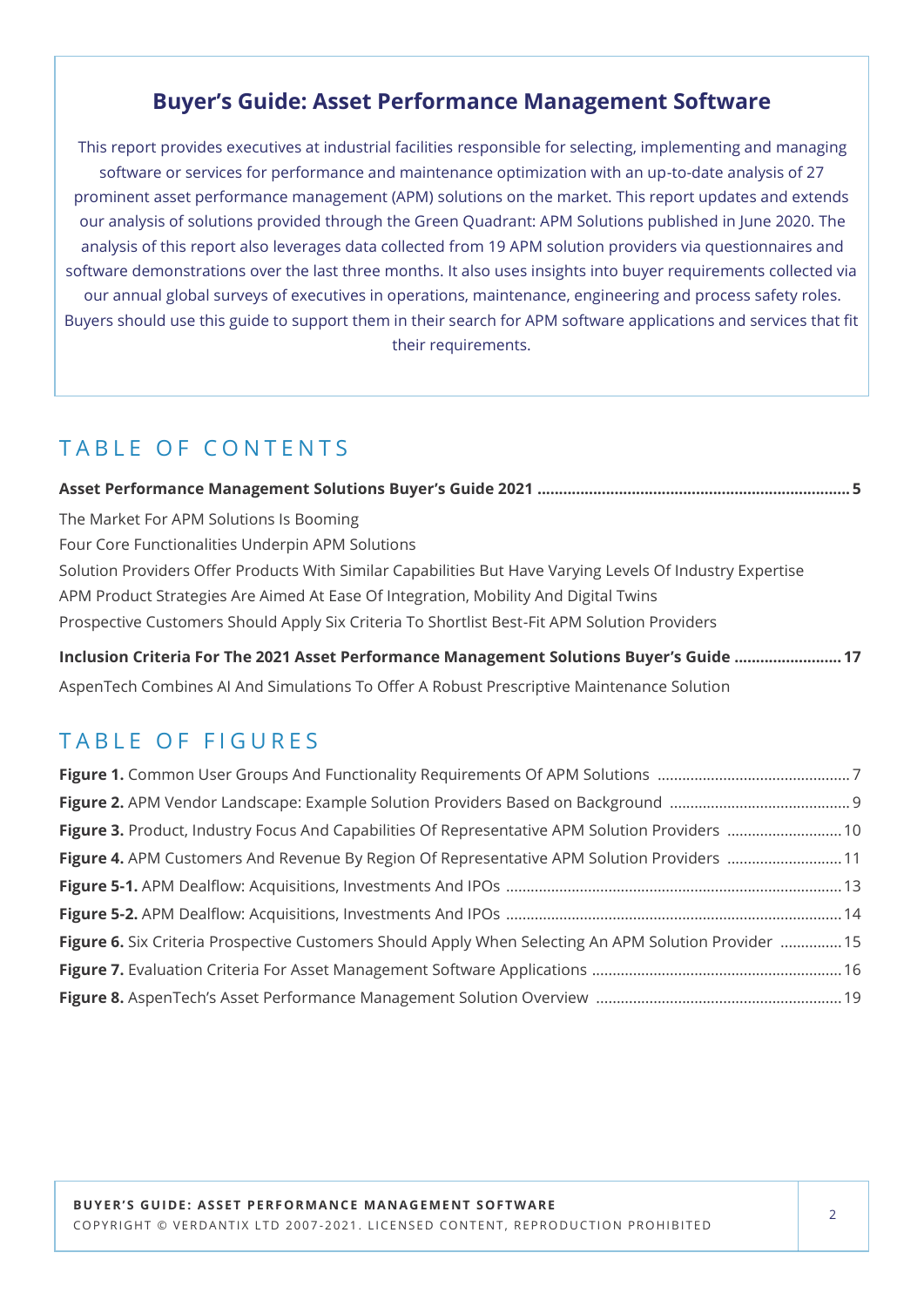### **Buyer's Guide: Asset Performance Management Software**

This report provides executives at industrial facilities responsible for selecting, implementing and managing software or services for performance and maintenance optimization with an up-to-date analysis of 27 prominent asset performance management (APM) solutions on the market. This report updates and extends our analysis of solutions provided through the Green Quadrant: APM Solutions published in June 2020. The analysis of this report also leverages data collected from 19 APM solution providers via questionnaires and software demonstrations over the last three months. It also uses insights into buyer requirements collected via our annual global surveys of executives in operations, maintenance, engineering and process safety roles. Buyers should use this guide to support them in their search for APM software applications and services that fit their requirements.

# TABLE OF CONTENTS

| The Market For APM Solutions Is Booming                                                                   |  |
|-----------------------------------------------------------------------------------------------------------|--|
| Four Core Functionalities Underpin APM Solutions                                                          |  |
| Solution Providers Offer Products With Similar Capabilities But Have Varying Levels Of Industry Expertise |  |
| APM Product Strategies Are Aimed At Ease Of Integration, Mobility And Digital Twins                       |  |
| Prospective Customers Should Apply Six Criteria To Shortlist Best-Fit APM Solution Providers              |  |
| Inclusion Criteria For The 2021 Asset Performance Management Solutions Buyer's Guide 17                   |  |

AspenTech Combines AI And Simulations To Offer A Robust Prescriptive Maintenance Solution

## TABLE OF FIGURES

| Figure 3. Product, Industry Focus And Capabilities Of Representative APM Solution Providers  10       |  |
|-------------------------------------------------------------------------------------------------------|--|
| Figure 4. APM Customers And Revenue By Region Of Representative APM Solution Providers 11             |  |
|                                                                                                       |  |
|                                                                                                       |  |
| Figure 6. Six Criteria Prospective Customers Should Apply When Selecting An APM Solution Provider  15 |  |
|                                                                                                       |  |
|                                                                                                       |  |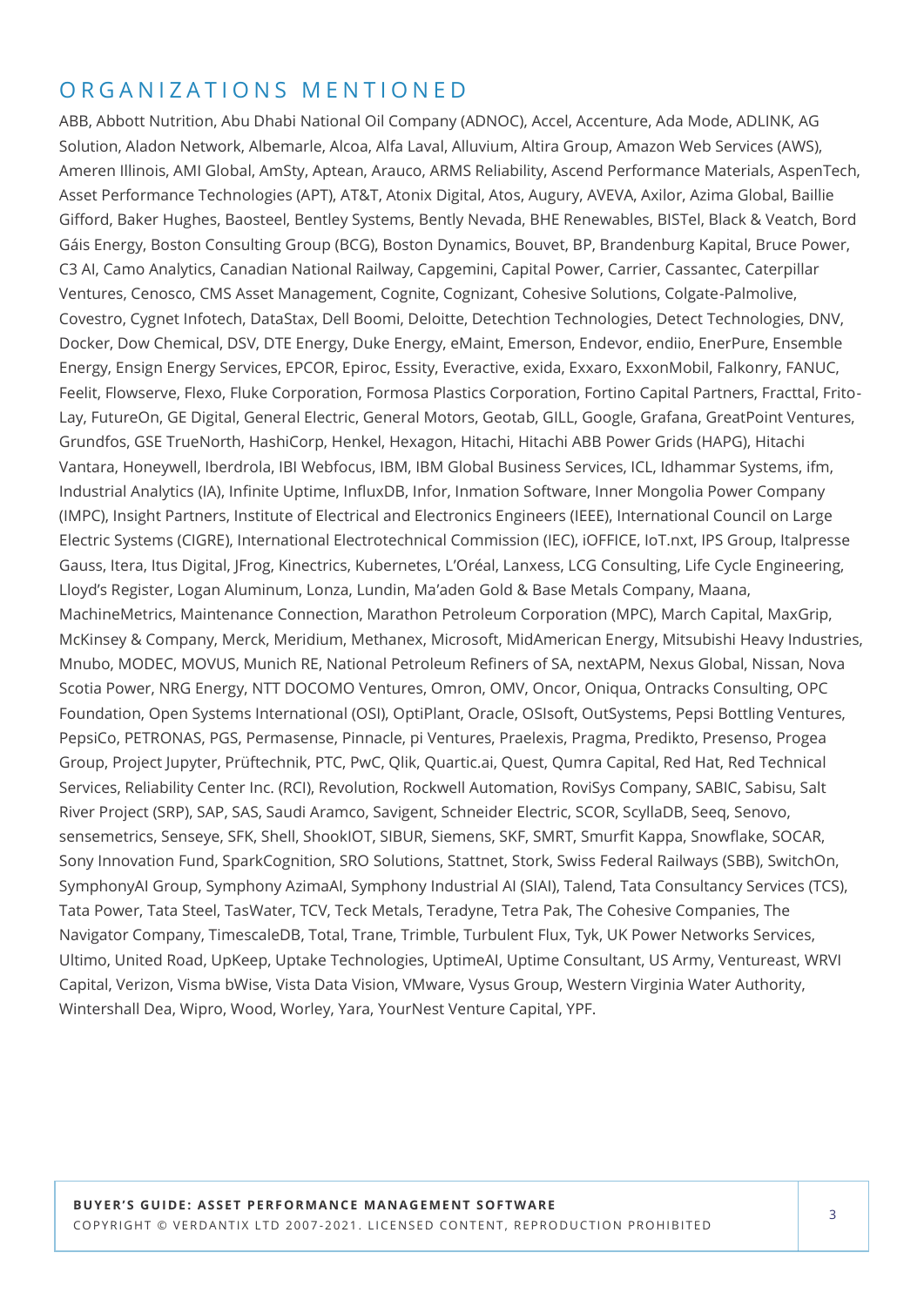### ORGANIZATIONS MENTIONED

ABB, Abbott Nutrition, Abu Dhabi National Oil Company (ADNOC), Accel, Accenture, Ada Mode, ADLINK, AG Solution, Aladon Network, Albemarle, Alcoa, Alfa Laval, Alluvium, Altira Group, Amazon Web Services (AWS), Ameren Illinois, AMI Global, AmSty, Aptean, Arauco, ARMS Reliability, Ascend Performance Materials, AspenTech, Asset Performance Technologies (APT), AT&T, Atonix Digital, Atos, Augury, AVEVA, Axilor, Azima Global, Baillie Gifford, Baker Hughes, Baosteel, Bentley Systems, Bently Nevada, BHE Renewables, BISTel, Black & Veatch, Bord Gáis Energy, Boston Consulting Group (BCG), Boston Dynamics, Bouvet, BP, Brandenburg Kapital, Bruce Power, C3 AI, Camo Analytics, Canadian National Railway, Capgemini, Capital Power, Carrier, Cassantec, Caterpillar Ventures, Cenosco, CMS Asset Management, Cognite, Cognizant, Cohesive Solutions, Colgate-Palmolive, Covestro, Cygnet Infotech, DataStax, Dell Boomi, Deloitte, Detechtion Technologies, Detect Technologies, DNV, Docker, Dow Chemical, DSV, DTE Energy, Duke Energy, eMaint, Emerson, Endevor, endiio, EnerPure, Ensemble Energy, Ensign Energy Services, EPCOR, Epiroc, Essity, Everactive, exida, Exxaro, ExxonMobil, Falkonry, FANUC, Feelit, Flowserve, Flexo, Fluke Corporation, Formosa Plastics Corporation, Fortino Capital Partners, Fracttal, Frito-Lay, FutureOn, GE Digital, General Electric, General Motors, Geotab, GILL, Google, Grafana, GreatPoint Ventures, Grundfos, GSE TrueNorth, HashiCorp, Henkel, Hexagon, Hitachi, Hitachi ABB Power Grids (HAPG), Hitachi Vantara, Honeywell, Iberdrola, IBI Webfocus, IBM, IBM Global Business Services, ICL, Idhammar Systems, ifm, Industrial Analytics (IA), Infinite Uptime, InfluxDB, Infor, Inmation Software, Inner Mongolia Power Company (IMPC), Insight Partners, Institute of Electrical and Electronics Engineers (IEEE), International Council on Large Electric Systems (CIGRE), International Electrotechnical Commission (IEC), iOFFICE, IoT.nxt, IPS Group, Italpresse Gauss, Itera, Itus Digital, JFrog, Kinectrics, Kubernetes, L'Oréal, Lanxess, LCG Consulting, Life Cycle Engineering, Lloyd's Register, Logan Aluminum, Lonza, Lundin, Ma'aden Gold & Base Metals Company, Maana, MachineMetrics, Maintenance Connection, Marathon Petroleum Corporation (MPC), March Capital, MaxGrip, McKinsey & Company, Merck, Meridium, Methanex, Microsoft, MidAmerican Energy, Mitsubishi Heavy Industries, Mnubo, MODEC, MOVUS, Munich RE, National Petroleum Refiners of SA, nextAPM, Nexus Global, Nissan, Nova Scotia Power, NRG Energy, NTT DOCOMO Ventures, Omron, OMV, Oncor, Oniqua, Ontracks Consulting, OPC Foundation, Open Systems International (OSI), OptiPlant, Oracle, OSIsoft, OutSystems, Pepsi Bottling Ventures, PepsiCo, PETRONAS, PGS, Permasense, Pinnacle, pi Ventures, Praelexis, Pragma, Predikto, Presenso, Progea Group, Project Jupyter, Prüftechnik, PTC, PwC, Qlik, Quartic.ai, Quest, Qumra Capital, Red Hat, Red Technical Services, Reliability Center Inc. (RCI), Revolution, Rockwell Automation, RoviSys Company, SABIC, Sabisu, Salt River Project (SRP), SAP, SAS, Saudi Aramco, Savigent, Schneider Electric, SCOR, ScyllaDB, Seeq, Senovo, sensemetrics, Senseye, SFK, Shell, ShookIOT, SIBUR, Siemens, SKF, SMRT, Smurfit Kappa, Snowflake, SOCAR, Sony Innovation Fund, SparkCognition, SRO Solutions, Stattnet, Stork, Swiss Federal Railways (SBB), SwitchOn, SymphonyAI Group, Symphony AzimaAI, Symphony Industrial AI (SIAI), Talend, Tata Consultancy Services (TCS), Tata Power, Tata Steel, TasWater, TCV, Teck Metals, Teradyne, Tetra Pak, The Cohesive Companies, The Navigator Company, TimescaleDB, Total, Trane, Trimble, Turbulent Flux, Tyk, UK Power Networks Services, Ultimo, United Road, UpKeep, Uptake Technologies, UptimeAI, Uptime Consultant, US Army, Ventureast, WRVI Capital, Verizon, Visma bWise, Vista Data Vision, VMware, Vysus Group, Western Virginia Water Authority, Wintershall Dea, Wipro, Wood, Worley, Yara, YourNest Venture Capital, YPF.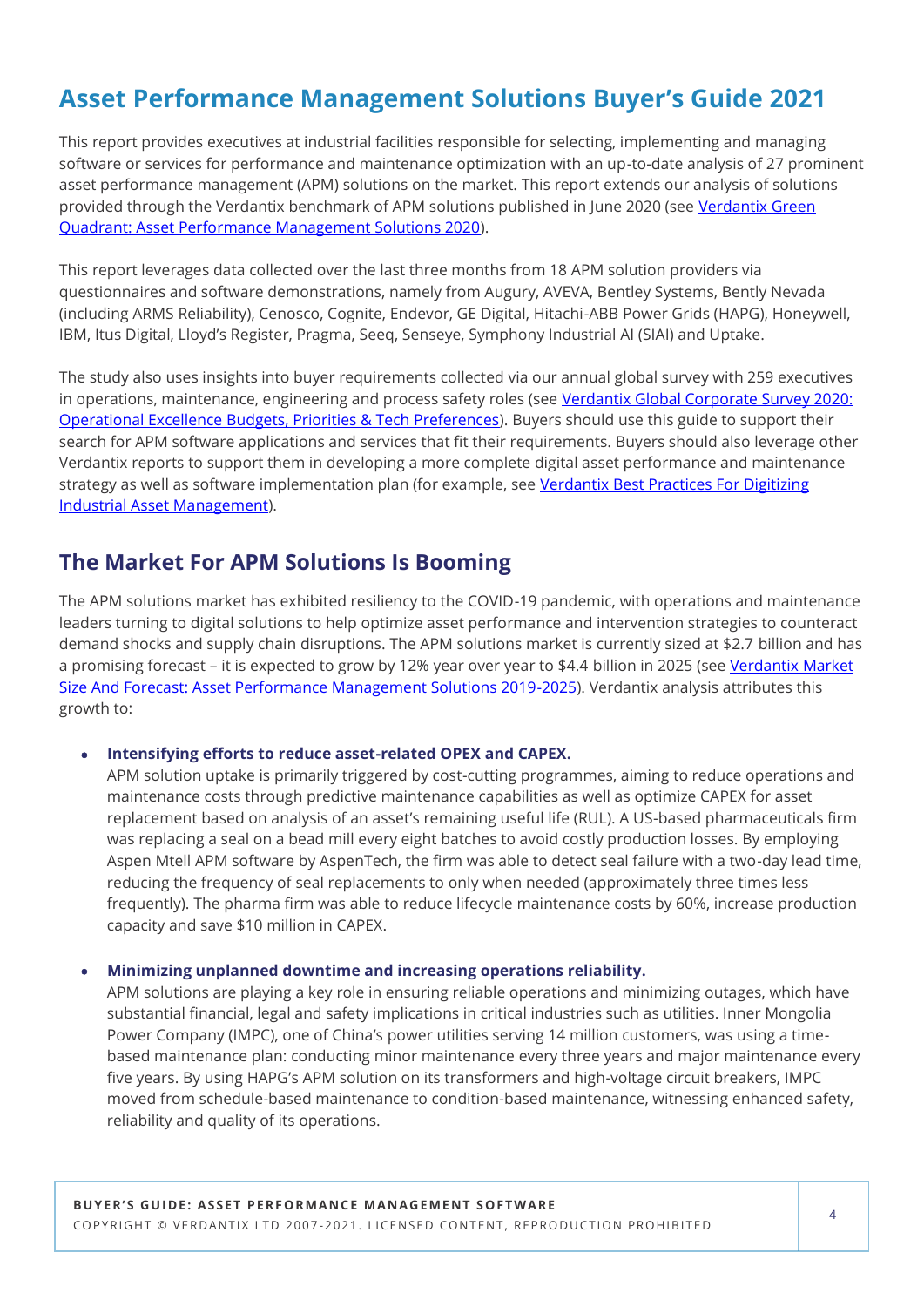# **Asset Performance Management Solutions Buyer's Guide 2021**

This report provides executives at industrial facilities responsible for selecting, implementing and managing software or services for performance and maintenance optimization with an up-to-date analysis of 27 prominent asset performance management (APM) solutions on the market. This report extends our analysis of solutions provided through the Verdantix benchmark of APM solutions published in June 2020 (see [Verdantix Green](https://research.verdantix.com/report/green-quadrant-asset-performance-management-solutions-2020)  [Quadrant: Asset Performance Management Solutions 2020\).](https://research.verdantix.com/report/green-quadrant-asset-performance-management-solutions-2020)

This report leverages data collected over the last three months from 18 APM solution providers via questionnaires and software demonstrations, namely from Augury, AVEVA, Bentley Systems, Bently Nevada (including ARMS Reliability), Cenosco, Cognite, Endevor, GE Digital, Hitachi-ABB Power Grids (HAPG), Honeywell, IBM, Itus Digital, Lloyd's Register, Pragma, Seeq, Senseye, Symphony Industrial AI (SIAI) and Uptake.

The study also uses insights into buyer requirements collected via our annual global survey with 259 executives in operations, maintenance, engineering and process safety roles (see Verdantix Global Corporate Survey 2020: [Operational Excellence Budgets, Priorities & Tech Preferences\).](https://research.verdantix.com/report/operational-excellence/global-corporate-survey-2020-operational-excellence-budgets-priorities-tech-preferences) Buyers should use this guide to support their search for APM software applications and services that fit their requirements. Buyers should also leverage other Verdantix reports to support them in developing a more complete digital asset performance and maintenance strategy as well as software implementation plan (for example, see Verdantix Best Practices For Digitizing [Industrial Asset Management\).](https://research.verdantix.com/report/best-practices-for-digitizing-industrial-asset-management)

### **The Market For APM Solutions Is Booming**

The APM solutions market has exhibited resiliency to the COVID-19 pandemic, with operations and maintenance leaders turning to digital solutions to help optimize asset performance and intervention strategies to counteract demand shocks and supply chain disruptions. The APM solutions market is currently sized at \$2.7 billion and has a promising forecast – it is expected to grow by 12% year over year to \$4.4 billion in 2025 (see Verdantix Market [Size And Forecast: Asset Performance Management Solutions 2019](https://research.verdantix.com/report/market-size-and-forecast-asset-performance-management-solutions-2019-2025)-2025). Verdantix analysis attributes this growth to:

### • **Intensifying efforts to reduce asset-related OPEX and CAPEX.**

APM solution uptake is primarily triggered by cost-cutting programmes, aiming to reduce operations and maintenance costs through predictive maintenance capabilities as well as optimize CAPEX for asset replacement based on analysis of an asset's remaining useful life (RUL). A US-based pharmaceuticals firm was replacing a seal on a bead mill every eight batches to avoid costly production losses. By employing Aspen Mtell APM software by AspenTech, the firm was able to detect seal failure with a two-day lead time, reducing the frequency of seal replacements to only when needed (approximately three times less frequently). The pharma firm was able to reduce lifecycle maintenance costs by 60%, increase production capacity and save \$10 million in CAPEX.

### • **Minimizing unplanned downtime and increasing operations reliability.**

APM solutions are playing a key role in ensuring reliable operations and minimizing outages, which have substantial financial, legal and safety implications in critical industries such as utilities. Inner Mongolia Power Company (IMPC), one of China's power utilities serving 14 million customers, was using a timebased maintenance plan: conducting minor maintenance every three years and major maintenance every five years. By using HAPG's APM solution on its transformers and high-voltage circuit breakers, IMPC moved from schedule-based maintenance to condition-based maintenance, witnessing enhanced safety, reliability and quality of its operations.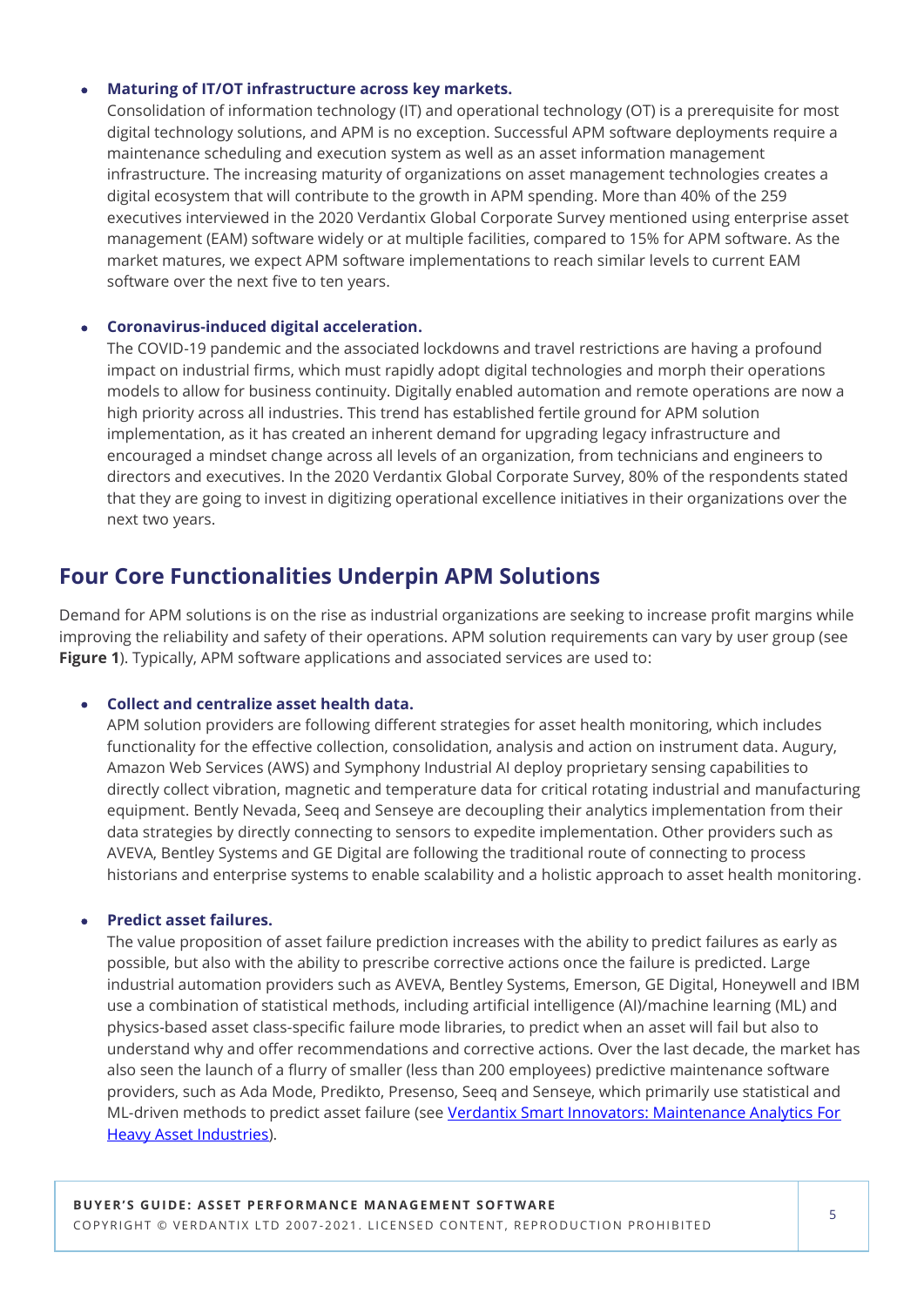### • **Maturing of IT/OT infrastructure across key markets.**

Consolidation of information technology (IT) and operational technology (OT) is a prerequisite for most digital technology solutions, and APM is no exception. Successful APM software deployments require a maintenance scheduling and execution system as well as an asset information management infrastructure. The increasing maturity of organizations on asset management technologies creates a digital ecosystem that will contribute to the growth in APM spending. More than 40% of the 259 executives interviewed in the 2020 Verdantix Global Corporate Survey mentioned using enterprise asset management (EAM) software widely or at multiple facilities, compared to 15% for APM software. As the market matures, we expect APM software implementations to reach similar levels to current EAM software over the next five to ten years.

### • **Coronavirus-induced digital acceleration.**

The COVID-19 pandemic and the associated lockdowns and travel restrictions are having a profound impact on industrial firms, which must rapidly adopt digital technologies and morph their operations models to allow for business continuity. Digitally enabled automation and remote operations are now a high priority across all industries. This trend has established fertile ground for APM solution implementation, as it has created an inherent demand for upgrading legacy infrastructure and encouraged a mindset change across all levels of an organization, from technicians and engineers to directors and executives. In the 2020 Verdantix Global Corporate Survey, 80% of the respondents stated that they are going to invest in digitizing operational excellence initiatives in their organizations over the next two years.

### **Four Core Functionalities Underpin APM Solutions**

Demand for APM solutions is on the rise as industrial organizations are seeking to increase profit margins while improving the reliability and safety of their operations. APM solution requirements can vary by user group (see **Figure 1**). Typically, APM software applications and associated services are used to:

### • **Collect and centralize asset health data.**

APM solution providers are following different strategies for asset health monitoring, which includes functionality for the effective collection, consolidation, analysis and action on instrument data. Augury, Amazon Web Services (AWS) and Symphony Industrial AI deploy proprietary sensing capabilities to directly collect vibration, magnetic and temperature data for critical rotating industrial and manufacturing equipment. Bently Nevada, Seeq and Senseye are decoupling their analytics implementation from their data strategies by directly connecting to sensors to expedite implementation. Other providers such as AVEVA, Bentley Systems and GE Digital are following the traditional route of connecting to process historians and enterprise systems to enable scalability and a holistic approach to asset health monitoring.

### • **Predict asset failures.**

The value proposition of asset failure prediction increases with the ability to predict failures as early as possible, but also with the ability to prescribe corrective actions once the failure is predicted. Large industrial automation providers such as AVEVA, Bentley Systems, Emerson, GE Digital, Honeywell and IBM use a combination of statistical methods, including artificial intelligence (AI)/machine learning (ML) and physics-based asset class-specific failure mode libraries, to predict when an asset will fail but also to understand why and offer recommendations and corrective actions. Over the last decade, the market has also seen the launch of a flurry of smaller (less than 200 employees) predictive maintenance software providers, such as Ada Mode, Predikto, Presenso, Seeq and Senseye, which primarily use statistical and ML-driven methods to predict asset failure (see Verdantix Smart Innovators: Maintenance Analytics For [Heavy Asset Industries\)](https://research.verdantix.com/report/smart-innovators-maintenance-analytics-for-heavy-asset-industries).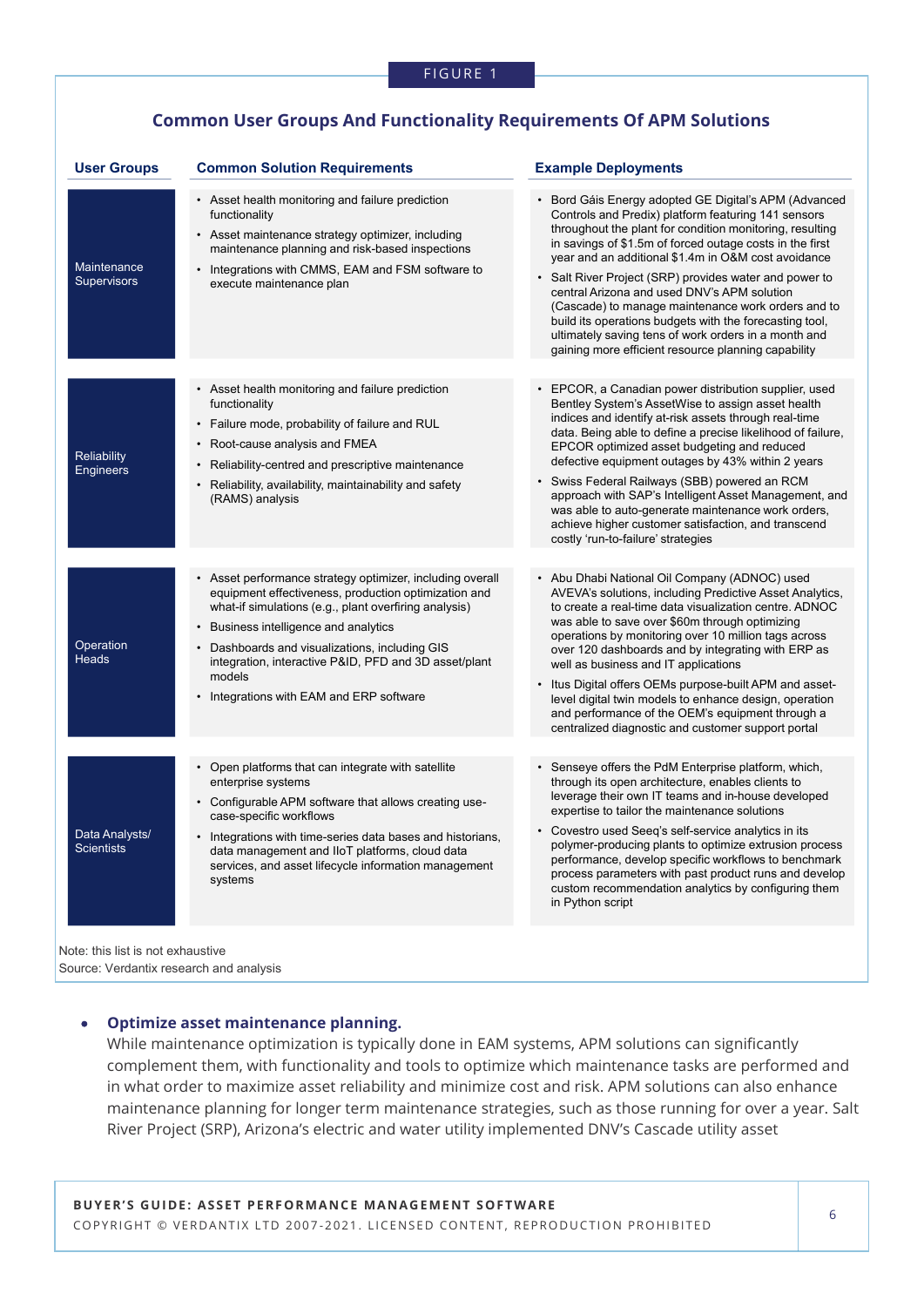### **Common User Groups And Functionality Requirements Of APM Solutions**

| <b>User Groups</b>                     | <b>Common Solution Requirements</b>                                                                                                                                                                                                                                                                                                             | <b>Example Deployments</b>                                                                                                                                                                                                                                                                                                                                                                                                                                                                                                                                                                                                           |
|----------------------------------------|-------------------------------------------------------------------------------------------------------------------------------------------------------------------------------------------------------------------------------------------------------------------------------------------------------------------------------------------------|--------------------------------------------------------------------------------------------------------------------------------------------------------------------------------------------------------------------------------------------------------------------------------------------------------------------------------------------------------------------------------------------------------------------------------------------------------------------------------------------------------------------------------------------------------------------------------------------------------------------------------------|
| Maintenance<br><b>Supervisors</b>      | • Asset health monitoring and failure prediction<br>functionality<br>• Asset maintenance strategy optimizer, including<br>maintenance planning and risk-based inspections<br>• Integrations with CMMS, EAM and FSM software to<br>execute maintenance plan                                                                                      | • Bord Gáis Energy adopted GE Digital's APM (Advanced<br>Controls and Predix) platform featuring 141 sensors<br>throughout the plant for condition monitoring, resulting<br>in savings of \$1.5m of forced outage costs in the first<br>year and an additional \$1.4m in O&M cost avoidance<br>• Salt River Project (SRP) provides water and power to<br>central Arizona and used DNV's APM solution<br>(Cascade) to manage maintenance work orders and to<br>build its operations budgets with the forecasting tool,<br>ultimately saving tens of work orders in a month and<br>gaining more efficient resource planning capability |
|                                        |                                                                                                                                                                                                                                                                                                                                                 |                                                                                                                                                                                                                                                                                                                                                                                                                                                                                                                                                                                                                                      |
| <b>Reliability</b><br><b>Engineers</b> | • Asset health monitoring and failure prediction<br>functionality<br>• Failure mode, probability of failure and RUL<br>Root-cause analysis and FMEA<br>• Reliability-centred and prescriptive maintenance                                                                                                                                       | • EPCOR, a Canadian power distribution supplier, used<br>Bentley System's AssetWise to assign asset health<br>indices and identify at-risk assets through real-time<br>data. Being able to define a precise likelihood of failure,<br>EPCOR optimized asset budgeting and reduced<br>defective equipment outages by 43% within 2 years<br>Swiss Federal Railways (SBB) powered an RCM                                                                                                                                                                                                                                                |
|                                        | Reliability, availability, maintainability and safety<br>(RAMS) analysis                                                                                                                                                                                                                                                                        | approach with SAP's Intelligent Asset Management, and<br>was able to auto-generate maintenance work orders,<br>achieve higher customer satisfaction, and transcend<br>costly 'run-to-failure' strategies                                                                                                                                                                                                                                                                                                                                                                                                                             |
|                                        |                                                                                                                                                                                                                                                                                                                                                 |                                                                                                                                                                                                                                                                                                                                                                                                                                                                                                                                                                                                                                      |
| Operation<br><b>Heads</b>              | • Asset performance strategy optimizer, including overall<br>equipment effectiveness, production optimization and<br>what-if simulations (e.g., plant overfiring analysis)<br>Business intelligence and analytics<br>• Dashboards and visualizations, including GIS<br>integration, interactive P&ID, PFD and 3D asset/plant                    | • Abu Dhabi National Oil Company (ADNOC) used<br>AVEVA's solutions, including Predictive Asset Analytics,<br>to create a real-time data visualization centre. ADNOC<br>was able to save over \$60m through optimizing<br>operations by monitoring over 10 million tags across<br>over 120 dashboards and by integrating with ERP as<br>well as business and IT applications                                                                                                                                                                                                                                                          |
|                                        | models<br>• Integrations with EAM and ERP software                                                                                                                                                                                                                                                                                              | • Itus Digital offers OEMs purpose-built APM and asset-<br>level digital twin models to enhance design, operation<br>and performance of the OEM's equipment through a<br>centralized diagnostic and customer support portal                                                                                                                                                                                                                                                                                                                                                                                                          |
|                                        |                                                                                                                                                                                                                                                                                                                                                 |                                                                                                                                                                                                                                                                                                                                                                                                                                                                                                                                                                                                                                      |
| Data Analysts/<br><b>Scientists</b>    | • Open platforms that can integrate with satellite<br>enterprise systems<br>• Configurable APM software that allows creating use-<br>case-specific workflows<br>• Integrations with time-series data bases and historians,<br>data management and IIoT platforms, cloud data<br>services, and asset lifecycle information management<br>systems | • Senseye offers the PdM Enterprise platform, which,<br>through its open architecture, enables clients to<br>leverage their own IT teams and in-house developed<br>expertise to tailor the maintenance solutions<br>• Covestro used Seeq's self-service analytics in its<br>polymer-producing plants to optimize extrusion process<br>performance, develop specific workflows to benchmark<br>process parameters with past product runs and develop<br>custom recommendation analytics by configuring them<br>in Python script                                                                                                       |
|                                        |                                                                                                                                                                                                                                                                                                                                                 |                                                                                                                                                                                                                                                                                                                                                                                                                                                                                                                                                                                                                                      |

Note: this list is not exhaustive Source: Verdantix research and analysis

### • **Optimize asset maintenance planning.**

While maintenance optimization is typically done in EAM systems, APM solutions can significantly complement them, with functionality and tools to optimize which maintenance tasks are performed and in what order to maximize asset reliability and minimize cost and risk. APM solutions can also enhance maintenance planning for longer term maintenance strategies, such as those running for over a year. Salt River Project (SRP), Arizona's electric and water utility implemented DNV's Cascade utility asset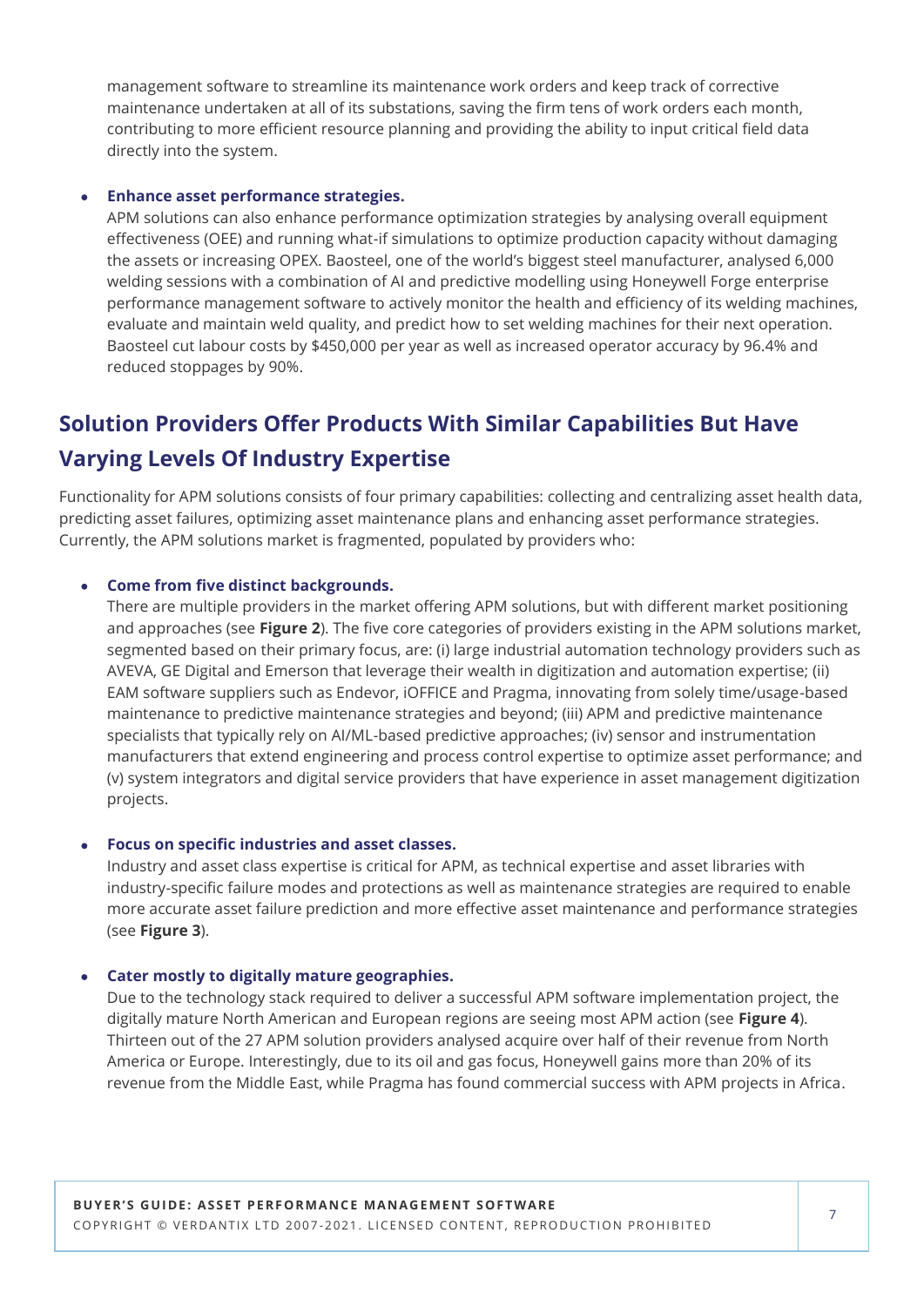management software to streamline its maintenance work orders and keep track of corrective maintenance undertaken at all of its substations, saving the firm tens of work orders each month, contributing to more efficient resource planning and providing the ability to input critical field data directly into the system.

### • **Enhance asset performance strategies.**

APM solutions can also enhance performance optimization strategies by analysing overall equipment effectiveness (OEE) and running what-if simulations to optimize production capacity without damaging the assets or increasing OPEX. Baosteel, one of the world's biggest steel manufacturer, analysed 6,000 welding sessions with a combination of AI and predictive modelling using Honeywell Forge enterprise performance management software to actively monitor the health and efficiency of its welding machines, evaluate and maintain weld quality, and predict how to set welding machines for their next operation. Baosteel cut labour costs by \$450,000 per year as well as increased operator accuracy by 96.4% and reduced stoppages by 90%.

# **Solution Providers Offer Products With Similar Capabilities But Have Varying Levels Of Industry Expertise**

Functionality for APM solutions consists of four primary capabilities: collecting and centralizing asset health data, predicting asset failures, optimizing asset maintenance plans and enhancing asset performance strategies. Currently, the APM solutions market is fragmented, populated by providers who:

### • **Come from five distinct backgrounds.**

There are multiple providers in the market offering APM solutions, but with different market positioning and approaches (see **Figure 2**). The five core categories of providers existing in the APM solutions market, segmented based on their primary focus, are: (i) large industrial automation technology providers such as AVEVA, GE Digital and Emerson that leverage their wealth in digitization and automation expertise; (ii) EAM software suppliers such as Endevor, iOFFICE and Pragma, innovating from solely time/usage-based maintenance to predictive maintenance strategies and beyond; (iii) APM and predictive maintenance specialists that typically rely on AI/ML-based predictive approaches; (iv) sensor and instrumentation manufacturers that extend engineering and process control expertise to optimize asset performance; and (v) system integrators and digital service providers that have experience in asset management digitization projects.

### • **Focus on specific industries and asset classes.**

Industry and asset class expertise is critical for APM, as technical expertise and asset libraries with industry-specific failure modes and protections as well as maintenance strategies are required to enable more accurate asset failure prediction and more effective asset maintenance and performance strategies (see **Figure 3**).

### • **Cater mostly to digitally mature geographies.**

Due to the technology stack required to deliver a successful APM software implementation project, the digitally mature North American and European regions are seeing most APM action (see **Figure 4**). Thirteen out of the 27 APM solution providers analysed acquire over half of their revenue from North America or Europe. Interestingly, due to its oil and gas focus, Honeywell gains more than 20% of its revenue from the Middle East, while Pragma has found commercial success with APM projects in Africa.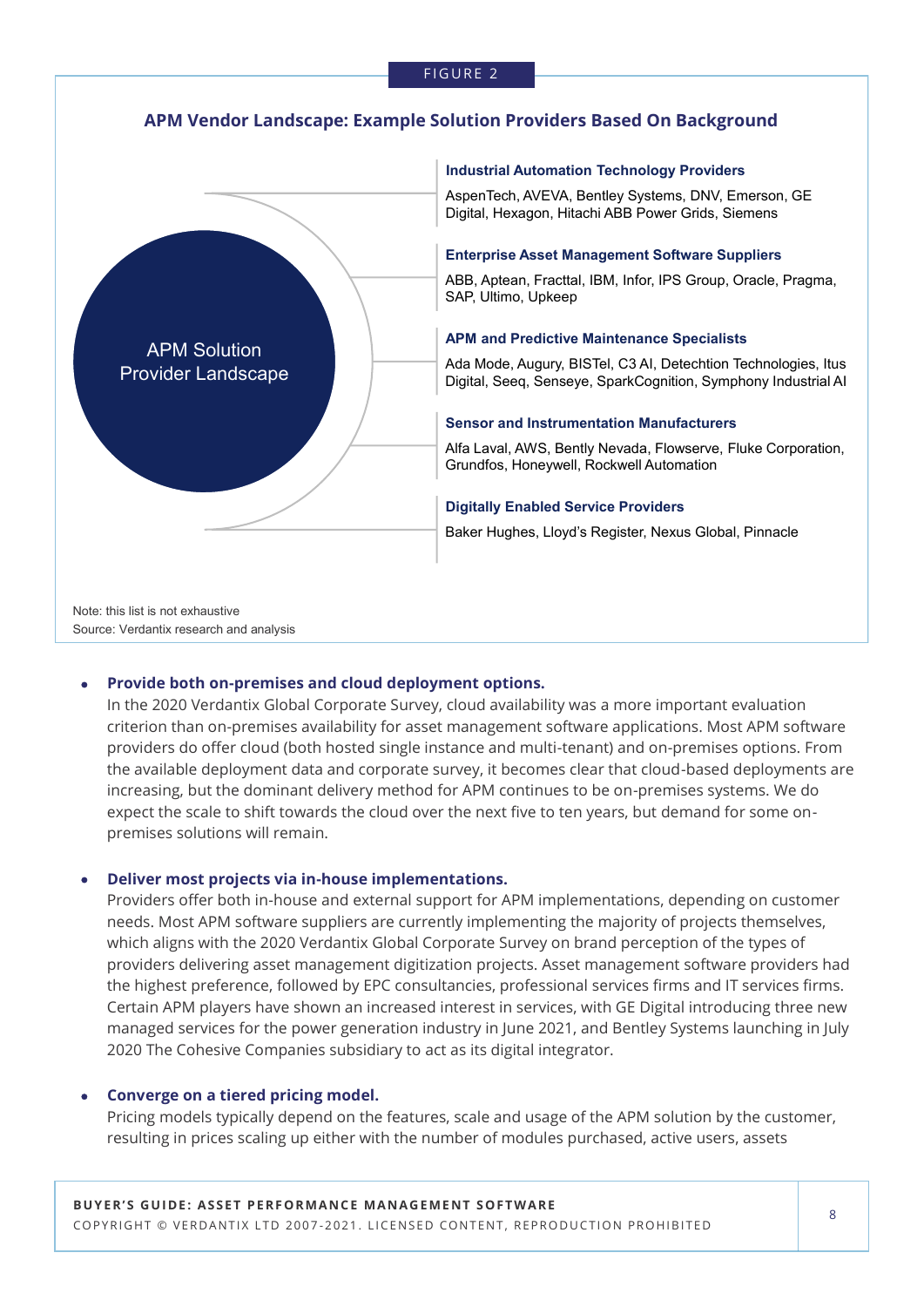#### FIGURE 2

### **APM Vendor Landscape: Example Solution Providers Based On Background**



#### **Industrial Automation Technology Providers**

AspenTech, AVEVA, Bentley Systems, DNV, Emerson, GE Digital, Hexagon, Hitachi ABB Power Grids, Siemens

#### **Enterprise Asset Management Software Suppliers**

ABB, Aptean, Fracttal, IBM, Infor, IPS Group, Oracle, Pragma, SAP, Ultimo, Upkeep

#### **APM and Predictive Maintenance Specialists**

Ada Mode, Augury, BISTel, C3 AI, Detechtion Technologies, Itus Digital, Seeq, Senseye, SparkCognition, Symphony Industrial AI

#### **Sensor and Instrumentation Manufacturers**

Alfa Laval, AWS, Bently Nevada, Flowserve, Fluke Corporation, Grundfos, Honeywell, Rockwell Automation

#### **Digitally Enabled Service Providers**

Baker Hughes, Lloyd's Register, Nexus Global, Pinnacle

### • **Provide both on-premises and cloud deployment options.**

In the 2020 Verdantix Global Corporate Survey, cloud availability was a more important evaluation criterion than on-premises availability for asset management software applications. Most APM software providers do offer cloud (both hosted single instance and multi-tenant) and on-premises options. From the available deployment data and corporate survey, it becomes clear that cloud-based deployments are increasing, but the dominant delivery method for APM continues to be on-premises systems. We do expect the scale to shift towards the cloud over the next five to ten years, but demand for some onpremises solutions will remain.

#### • **Deliver most projects via in-house implementations.**

Providers offer both in-house and external support for APM implementations, depending on customer needs. Most APM software suppliers are currently implementing the majority of projects themselves, which aligns with the 2020 Verdantix Global Corporate Survey on brand perception of the types of providers delivering asset management digitization projects. Asset management software providers had the highest preference, followed by EPC consultancies, professional services firms and IT services firms. Certain APM players have shown an increased interest in services, with GE Digital introducing three new managed services for the power generation industry in June 2021, and Bentley Systems launching in July 2020 The Cohesive Companies subsidiary to act as its digital integrator.

### • **Converge on a tiered pricing model.**

Pricing models typically depend on the features, scale and usage of the APM solution by the customer, resulting in prices scaling up either with the number of modules purchased, active users, assets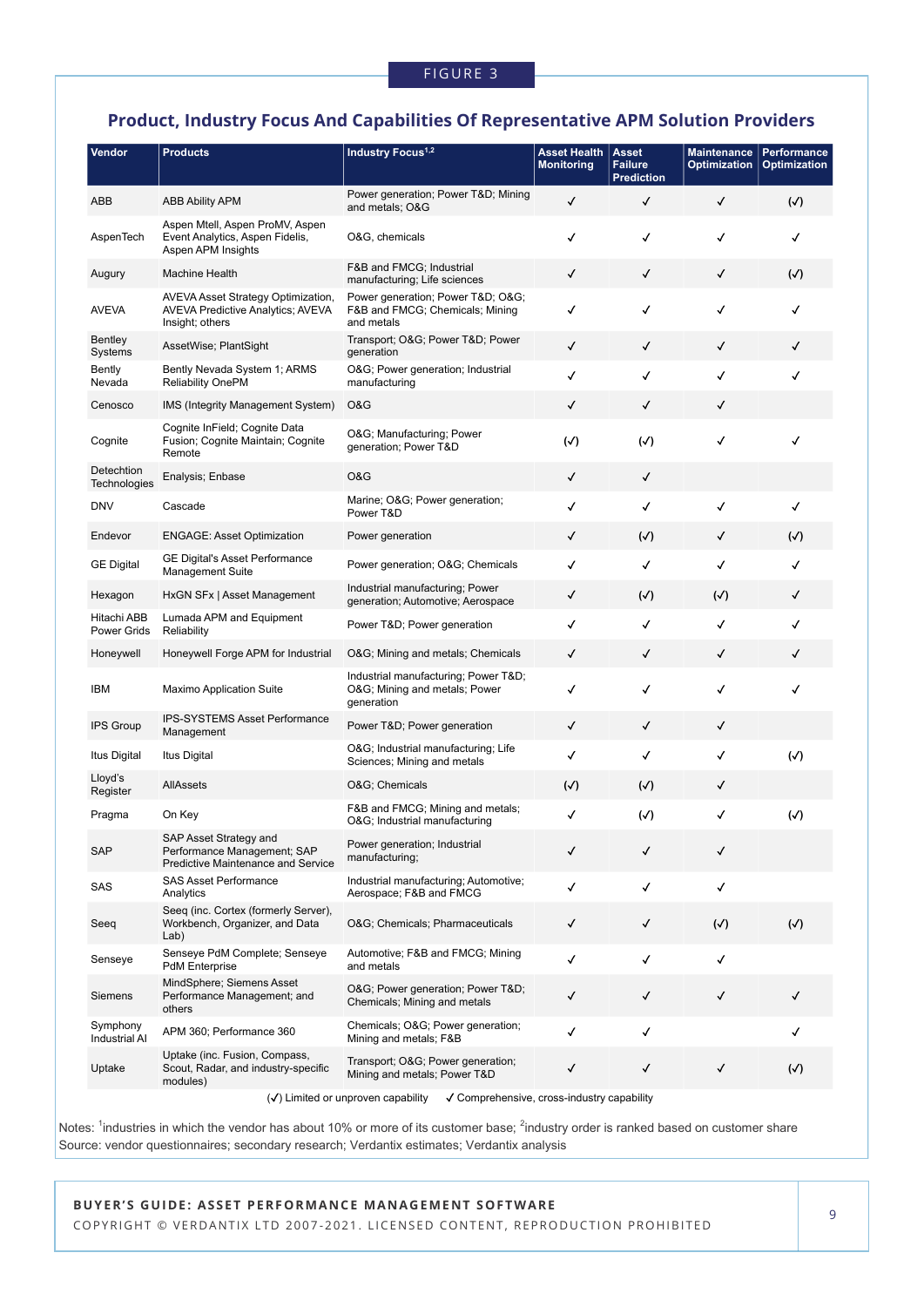### **Product, Industry Focus And Capabilities Of Representative APM Solution Providers**

| Vendor                            | <b>Products</b>                                                                                    | Industry Focus <sup>1,2</sup>                                                     | <b>Asset Health</b><br><b>Monitoring</b> | <b>Asset</b><br><b>Failure</b><br><b>Prediction</b> | <b>Maintenance</b><br>Optimization | <b>Performance</b><br><b>Optimization</b> |
|-----------------------------------|----------------------------------------------------------------------------------------------------|-----------------------------------------------------------------------------------|------------------------------------------|-----------------------------------------------------|------------------------------------|-------------------------------------------|
| ABB                               | <b>ABB Ability APM</b>                                                                             | Power generation; Power T&D Mining<br>and metals; O&G                             | ✓                                        | ✓                                                   | ✓                                  | $(\sqrt{2})$                              |
| AspenTech                         | Aspen Mtell, Aspen ProMV, Aspen<br>Event Analytics, Aspen Fidelis,<br>Aspen APM Insights           | O&G, chemicals                                                                    | ✓                                        | √                                                   | ✓                                  | √                                         |
| Augury                            | <b>Machine Health</b>                                                                              | F&B and FMCG; Industrial<br>manufacturing; Life sciences                          | $\checkmark$                             | ✓                                                   | ✓                                  | $(\sqrt{2})$                              |
| AVEVA                             | AVEVA Asset Strategy Optimization,<br><b>AVEVA Predictive Analytics; AVEVA</b><br>Insight; others  | Power generation; Power T&D O&G<br>F&B and FMCG; Chemicals; Mining<br>and metals  | ✓                                        | √                                                   | ✓                                  | √                                         |
| Bentley<br>Systems                | AssetWise; PlantSight                                                                              | Transport; O&G Power T&D Power<br>generation                                      | ✓                                        | ✓                                                   | ✓                                  | ✓                                         |
| Bently<br>Nevada                  | Bently Nevada System 1; ARMS<br><b>Reliability OnePM</b>                                           | O&G Power generation; Industrial<br>manufacturing                                 | ✓                                        | √                                                   | √                                  | ✓                                         |
| Cenosco                           | IMS (Integrity Management System)                                                                  | O&G                                                                               | ✓                                        | √                                                   | ✓                                  |                                           |
| Cognite                           | Cognite InField; Cognite Data<br>Fusion; Cognite Maintain; Cognite<br>Remote                       | O&G Manufacturing; Power<br>generation; Power T&D                                 | $(\checkmark)$                           | $(\checkmark)$                                      | ✓                                  | √                                         |
| Detechtion<br>Technologies        | Enalysis; Enbase                                                                                   | O&G                                                                               | ✓                                        | ✓                                                   |                                    |                                           |
| <b>DNV</b>                        | Cascade                                                                                            | Marine; O&G Power generation;<br>Power T&D                                        | √                                        | √                                                   | √                                  | ✓                                         |
| Endevor                           | <b>ENGAGE: Asset Optimization</b>                                                                  | Power generation                                                                  | ✓                                        | $(\checkmark)$                                      | ✓                                  | $(\checkmark)$                            |
| <b>GE Digital</b>                 | <b>GE Digital's Asset Performance</b><br><b>Management Suite</b>                                   | Power generation; O&G Chemicals                                                   | √                                        | √                                                   | √                                  | √                                         |
| Hexagon                           | HxGN SFx   Asset Management                                                                        | Industrial manufacturing; Power<br>generation; Automotive; Aerospace              | ✓                                        | $(\sqrt{2})$                                        | $(\checkmark)$                     | ✓                                         |
| Hitachi ABB<br><b>Power Grids</b> | Lumada APM and Equipment<br>Reliability                                                            | Power T&D Power generation                                                        | √                                        | √                                                   | √                                  | ✓                                         |
| Honeywell                         | Honeywell Forge APM for Industrial                                                                 | O&G Mining and metals; Chemicals                                                  | ✓                                        | ✓                                                   | ✓                                  | ✓                                         |
| IBM                               | Maximo Application Suite                                                                           | Industrial manufacturing; Power T&D<br>O&G Mining and metals; Power<br>generation | ✓                                        | √                                                   | ✓                                  | ✓                                         |
| <b>IPS Group</b>                  | IPS-SYSTEMS Asset Performance<br>Management                                                        | Power T&D Power generation                                                        | ✓                                        | ✓                                                   | ✓                                  |                                           |
| Itus Digital                      | Itus Digital                                                                                       | O&G Industrial manufacturing; Life<br>Sciences; Mining and metals                 | √                                        | √                                                   | √                                  | $(\checkmark)$                            |
| Lloyd's<br>Register               | AllAssets                                                                                          | O&G Chemicals                                                                     | $(\sqrt{2})$                             | $(\sqrt{2})$                                        | ✓                                  |                                           |
| Pragma                            | On Key                                                                                             | F&B and FMCG; Mining and metals;<br>O&G Industrial manufacturing                  | ✓                                        | $(\checkmark)$                                      | √                                  | $(\checkmark)$                            |
| <b>SAP</b>                        | SAP Asset Strategy and<br>Performance Management; SAP<br><b>Predictive Maintenance and Service</b> | Power generation; Industrial<br>manufacturing;                                    | ✓                                        | ✓                                                   | ✓                                  |                                           |
| SAS                               | <b>SAS Asset Performance</b><br>Analytics                                                          | Industrial manufacturing; Automotive;<br>Aerospace; F&B and FMCG                  | ✓                                        | ✓                                                   | ✓                                  |                                           |
| Seeq                              | Seeq (inc. Cortex (formerly Server),<br>Workbench, Organizer, and Data<br>Lab)                     | O&G Chemicals; Pharmaceuticals                                                    | $\checkmark$                             | ✓                                                   | $(\checkmark)$                     | $(\checkmark)$                            |
| Senseye                           | Senseye PdM Complete; Senseye<br><b>PdM</b> Enterprise                                             | Automotive; F&B and FMCG; Mining<br>and metals                                    | √                                        | ✓                                                   | √                                  |                                           |
| <b>Siemens</b>                    | MindSphere; Siemens Asset<br>Performance Management; and<br>others                                 | O&G Power generation; Power T&D<br>Chemicals; Mining and metals                   | ✓                                        | √                                                   | ✓                                  | ✓                                         |
| Symphony<br>Industrial AI         | APM 360; Performance 360                                                                           | Chemicals; O&G Power generation;<br>Mining and metals; F&B                        | √                                        | √                                                   |                                    | ✓                                         |
| Uptake                            | Uptake (inc. Fusion, Compass,<br>Scout, Radar, and industry-specific<br>modules)                   | Transport; O&G Power generation;<br>Mining and metals; Power T&D                  | √                                        | ✓                                                   | ✓                                  | $(\sqrt{2})$                              |

Notes: <sup>1</sup>industries in which the vendor has about 10% or more of its customer base; <sup>2</sup>industry order is ranked based on customer share Source: vendor questionnaires; secondary research; Verdantix estimates; Verdantix analysis

BUYER'S GUIDE: ASSET PERFORMANCE MANAGEMENT SOFTWARE COPYRIGHT © VERDANTIX LTD 2007-2021. LICENSED CONTENT, REPRODUCTION PROHIBITED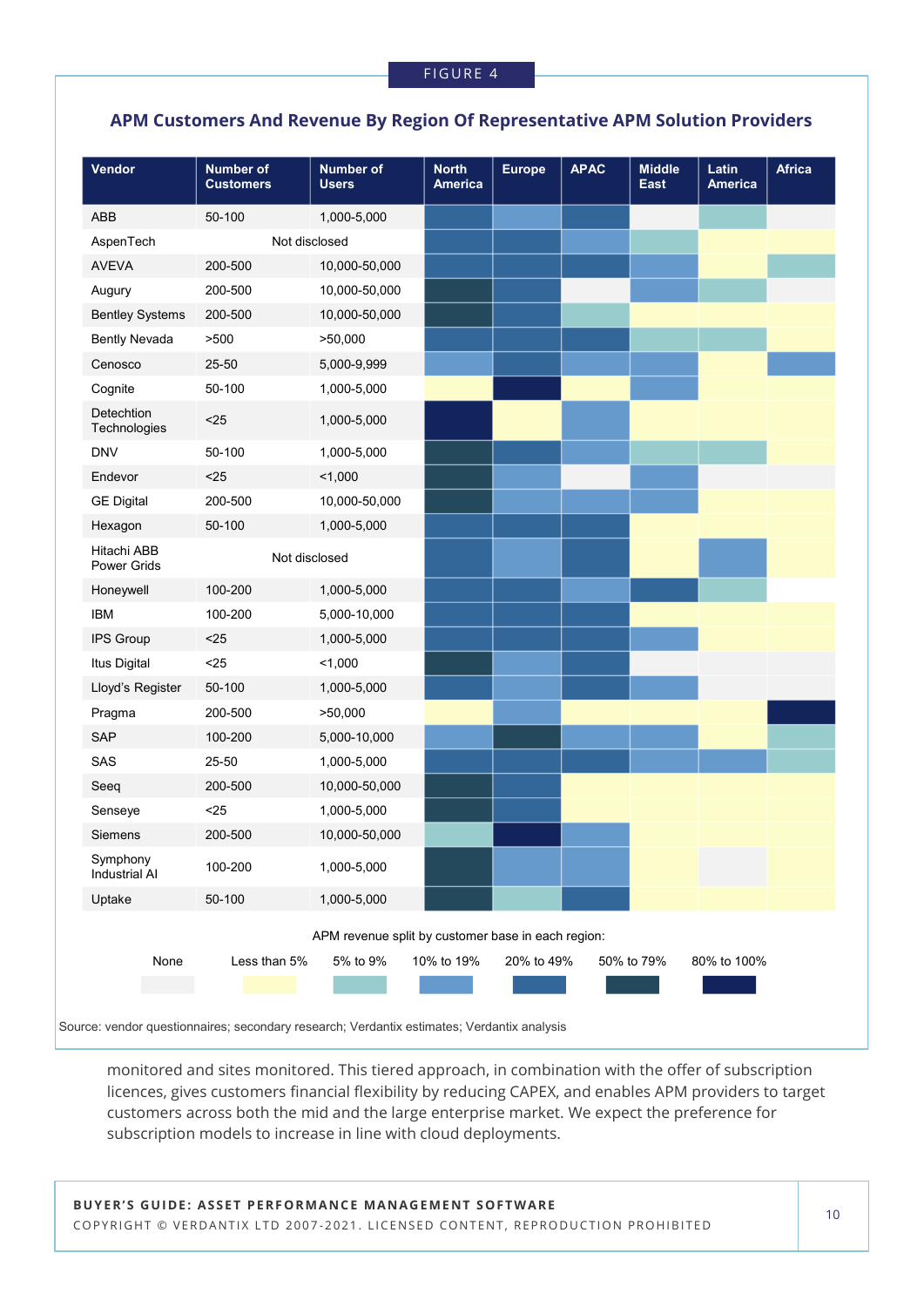### **APM Customers And Revenue By Region Of Representative APM Solution Providers**

| Vendor                     | <b>Number of</b><br><b>Customers</b> | <b>Number of</b><br><b>Users</b>                   | <b>North</b><br><b>America</b> | <b>Europe</b> | <b>APAC</b> | <b>Middle</b><br><b>East</b> | Latin<br><b>America</b> | <b>Africa</b> |
|----------------------------|--------------------------------------|----------------------------------------------------|--------------------------------|---------------|-------------|------------------------------|-------------------------|---------------|
| ABB                        | 50-100                               | 1,000-5,000                                        |                                |               |             |                              |                         |               |
| AspenTech                  | Not disclosed                        |                                                    |                                |               |             |                              |                         |               |
| <b>AVEVA</b>               | 200-500                              | 10,000-50,000                                      |                                |               |             |                              |                         |               |
| Augury                     | 200-500                              | 10,000-50,000                                      |                                |               |             |                              |                         |               |
| <b>Bentley Systems</b>     | 200-500                              | 10,000-50,000                                      |                                |               |             |                              |                         |               |
| <b>Bently Nevada</b>       | >500                                 | >50,000                                            |                                |               |             |                              |                         |               |
| Cenosco                    | 25-50                                | 5,000-9,999                                        |                                |               |             |                              |                         |               |
| Cognite                    | 50-100                               | 1,000-5,000                                        |                                |               |             |                              |                         |               |
| Detechtion<br>Technologies | $25$                                 | 1,000-5,000                                        |                                |               |             |                              |                         |               |
| <b>DNV</b>                 | 50-100                               | 1,000-5,000                                        |                                |               |             |                              |                         |               |
| Endevor                    | $25$                                 | 1,000                                              |                                |               |             |                              |                         |               |
| <b>GE Digital</b>          | 200-500                              | 10,000-50,000                                      |                                |               |             |                              |                         |               |
| Hexagon                    | 50-100                               | 1,000-5,000                                        |                                |               |             |                              |                         |               |
| Hitachi ABB<br>Power Grids | Not disclosed                        |                                                    |                                |               |             |                              |                         |               |
| Honeywell                  | 100-200                              | 1,000-5,000                                        |                                |               |             |                              |                         |               |
| <b>IBM</b>                 | 100-200                              | 5,000-10,000                                       |                                |               |             |                              |                         |               |
| IPS Group                  | $25$                                 | 1,000-5,000                                        |                                |               |             |                              |                         |               |
| Itus Digital               | $25$                                 | 1,000                                              |                                |               |             |                              |                         |               |
| Lloyd's Register           | 50-100                               | 1,000-5,000                                        |                                |               |             |                              |                         |               |
| Pragma                     | 200-500                              | >50,000                                            |                                |               |             |                              |                         |               |
| SAP                        | 100-200                              | 5,000-10,000                                       |                                |               |             |                              |                         |               |
| SAS                        | 25-50                                | 1,000-5,000                                        |                                |               |             |                              |                         |               |
| Seeq                       | 200-500                              | 10,000-50,000                                      |                                |               |             |                              |                         |               |
| Senseye                    | $25$                                 | 1,000-5,000                                        |                                |               |             |                              |                         |               |
| Siemens                    | 200-500                              | 10,000-50,000                                      |                                |               |             |                              |                         |               |
| Symphony<br>Industrial Al  | 100-200                              | 1,000-5,000                                        |                                |               |             |                              |                         |               |
| Uptake                     | 50-100                               | 1,000-5,000                                        |                                |               |             |                              |                         |               |
|                            |                                      | APM revenue split by customer base in each region: |                                |               |             |                              |                         |               |
| None                       | Less than 5%                         | 5% to 9%                                           | 10% to 19%                     | 20% to 49%    |             | 50% to 79%                   | 80% to 100%             |               |
|                            |                                      |                                                    |                                |               |             |                              |                         |               |

Source: vendor questionnaires; secondary research; Verdantix estimates; Verdantix analysis

monitored and sites monitored. This tiered approach, in combination with the offer of subscription licences, gives customers financial flexibility by reducing CAPEX, and enables APM providers to target customers across both the mid and the large enterprise market. We expect the preference for subscription models to increase in line with cloud deployments.

BUYER'S GUIDE: ASSET PERFORMANCE MANAGEMENT SOFTWARE COPYRIGHT © VERDANTIX LTD 2007-2021. LICENSED CONTENT, REPRODUCTION PROHIBITED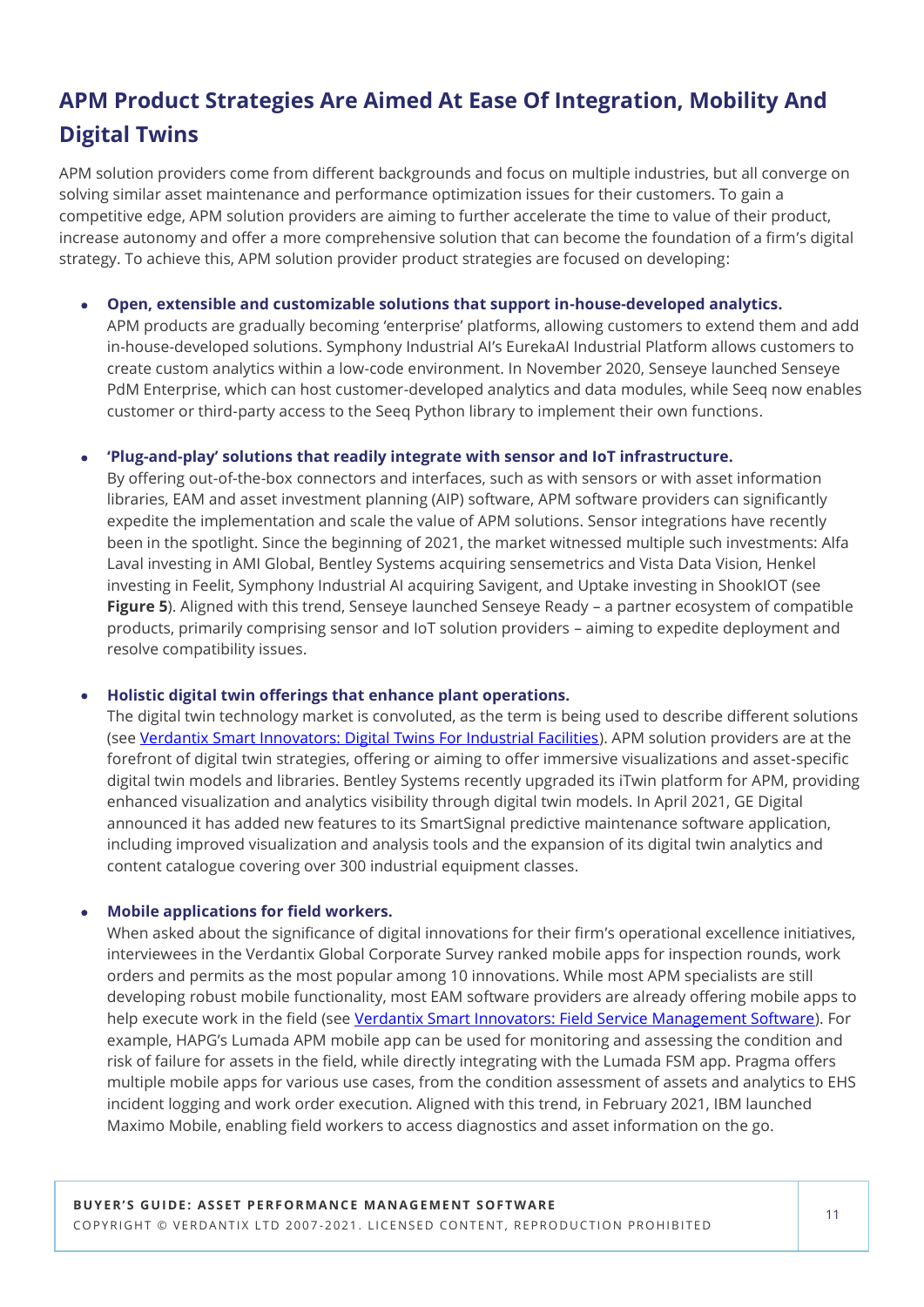# **APM Product Strategies Are Aimed At Ease Of Integration, Mobility And Digital Twins**

APM solution providers come from different backgrounds and focus on multiple industries, but all converge on solving similar asset maintenance and performance optimization issues for their customers. To gain a competitive edge, APM solution providers are aiming to further accelerate the time to value of their product, increase autonomy and offer a more comprehensive solution that can become the foundation of a firm's digital strategy. To achieve this, APM solution provider product strategies are focused on developing:

• **Open, extensible and customizable solutions that support in-house-developed analytics.**

APM products are gradually becoming 'enterprise' platforms, allowing customers to extend them and add in-house-developed solutions. Symphony Industrial AI's EurekaAI Industrial Platform allows customers to create custom analytics within a low-code environment. In November 2020, Senseye launched Senseye PdM Enterprise, which can host customer-developed analytics and data modules, while Seeq now enables customer or third-party access to the Seeq Python library to implement their own functions.

### • **'Plug-and-play' solutions that readily integrate with sensor and IoT infrastructure.**

By offering out-of-the-box connectors and interfaces, such as with sensors or with asset information libraries, EAM and asset investment planning (AIP) software, APM software providers can significantly expedite the implementation and scale the value of APM solutions. Sensor integrations have recently been in the spotlight. Since the beginning of 2021, the market witnessed multiple such investments: Alfa Laval investing in AMI Global, Bentley Systems acquiring sensemetrics and Vista Data Vision, Henkel investing in Feelit, Symphony Industrial AI acquiring Savigent, and Uptake investing in ShookIOT (see **Figure 5**). Aligned with this trend, Senseye launched Senseye Ready – a partner ecosystem of compatible products, primarily comprising sensor and IoT solution providers – aiming to expedite deployment and resolve compatibility issues.

### • **Holistic digital twin offerings that enhance plant operations.**

The digital twin technology market is convoluted, as the term is being used to describe different solutions (see [Verdantix Smart Innovators: Digital Twins For Industrial Facilities\)](https://research.verdantix.com/report/smart-innovators-digital-twins-for-industrial-facilities-2021). APM solution providers are at the forefront of digital twin strategies, offering or aiming to offer immersive visualizations and asset-specific digital twin models and libraries. Bentley Systems recently upgraded its iTwin platform for APM, providing enhanced visualization and analytics visibility through digital twin models. In April 2021, GE Digital announced it has added new features to its SmartSignal predictive maintenance software application, including improved visualization and analysis tools and the expansion of its digital twin analytics and content catalogue covering over 300 industrial equipment classes.

### • **Mobile applications for field workers.**

When asked about the significance of digital innovations for their firm's operational excellence initiatives, interviewees in the Verdantix Global Corporate Survey ranked mobile apps for inspection rounds, work orders and permits as the most popular among 10 innovations. While most APM specialists are still developing robust mobile functionality, most EAM software providers are already offering mobile apps to help execute work in the field (see [Verdantix Smart Innovators: Field Service Management Software\)](https://research.verdantix.com/report/smart-innovators-field-service-management-software). For example, HAPG's Lumada APM mobile app can be used for monitoring and assessing the condition and risk of failure for assets in the field, while directly integrating with the Lumada FSM app. Pragma offers multiple mobile apps for various use cases, from the condition assessment of assets and analytics to EHS incident logging and work order execution. Aligned with this trend, in February 2021, IBM launched Maximo Mobile, enabling field workers to access diagnostics and asset information on the go.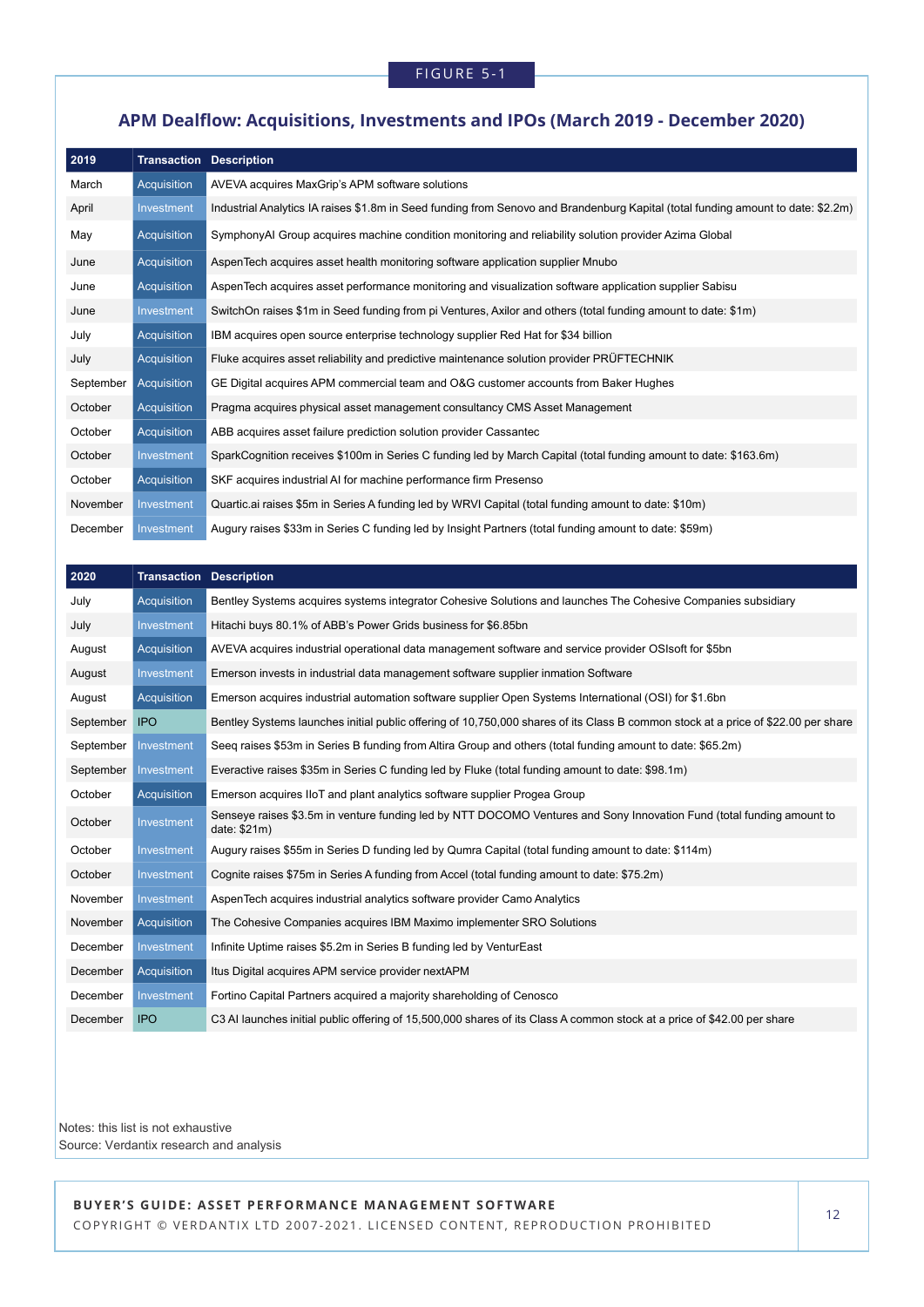### **APM Dealflow: Acquisitions, Investments and IPOs (March 2019 - December 2020)**

| 2019      | <b>Transaction Description</b> |                                                                                                                                  |
|-----------|--------------------------------|----------------------------------------------------------------------------------------------------------------------------------|
| March     | Acquisition                    | AVEVA acquires MaxGrip's APM software solutions                                                                                  |
| April     | Investment                     | Industrial Analytics IA raises \$1.8m in Seed funding from Senovo and Brandenburg Kapital (total funding amount to date: \$2.2m) |
| May       | Acquisition                    | SymphonyAI Group acquires machine condition monitoring and reliability solution provider Azima Global                            |
| June      | Acquisition                    | AspenTech acquires asset health monitoring software application supplier Mnubo                                                   |
| June      | Acquisition                    | AspenTech acquires asset performance monitoring and visualization software application supplier Sabisu                           |
| June      | Investment                     | SwitchOn raises \$1m in Seed funding from pi Ventures, Axilor and others (total funding amount to date: \$1m)                    |
| July      | Acquisition                    | IBM acquires open source enterprise technology supplier Red Hat for \$34 billion                                                 |
| July      | Acquisition                    | Fluke acquires asset reliability and predictive maintenance solution provider PRÜFTECHNIK                                        |
| September | Acquisition                    | GE Digital acquires APM commercial team and O&G customer accounts from Baker Hughes                                              |
| October   | Acquisition                    | Pragma acquires physical asset management consultancy CMS Asset Management                                                       |
| October   | Acquisition                    | ABB acquires asset failure prediction solution provider Cassantec                                                                |
| October   | Investment                     | SparkCognition receives \$100m in Series C funding led by March Capital (total funding amount to date: \$163.6m)                 |
| October   | Acquisition                    | SKF acquires industrial AI for machine performance firm Presenso                                                                 |
| November  | Investment                     | Quartic ai raises \$5m in Series A funding led by WRVI Capital (total funding amount to date: \$10m)                             |
| December  | Investment                     | Augury raises \$33m in Series C funding led by Insight Partners (total funding amount to date: \$59m)                            |

| 2020      |             | <b>Transaction Description</b>                                                                                                        |
|-----------|-------------|---------------------------------------------------------------------------------------------------------------------------------------|
| July      | Acquisition | Bentley Systems acquires systems integrator Cohesive Solutions and launches The Cohesive Companies subsidiary                         |
| July      | Investment  | Hitachi buys 80.1% of ABB's Power Grids business for \$6.85bn                                                                         |
| August    | Acquisition | AVEVA acquires industrial operational data management software and service provider OSIsoft for \$5bn                                 |
| August    | Investment  | Emerson invests in industrial data management software supplier inmation Software                                                     |
| August    | Acquisition | Emerson acquires industrial automation software supplier Open Systems International (OSI) for \$1.6bn                                 |
| September | <b>IPO</b>  | Bentley Systems launches initial public offering of 10,750,000 shares of its Class B common stock at a price of \$22.00 per share     |
| September | Investment  | Seeg raises \$53m in Series B funding from Altira Group and others (total funding amount to date: \$65.2m)                            |
| September | Investment  | Everactive raises \$35m in Series C funding led by Fluke (total funding amount to date: \$98.1m)                                      |
| October   | Acquisition | Emerson acquires IIoT and plant analytics software supplier Progea Group                                                              |
| October   | Investment  | Senseye raises \$3.5m in venture funding led by NTT DOCOMO Ventures and Sony Innovation Fund (total funding amount to<br>date: \$21m) |
| October   | Investment  | Augury raises \$55m in Series D funding led by Qumra Capital (total funding amount to date: \$114m)                                   |
| October   | Investment  | Cognite raises \$75m in Series A funding from Accel (total funding amount to date: \$75.2m)                                           |
| November  | Investment  | AspenTech acquires industrial analytics software provider Camo Analytics                                                              |
| November  | Acquisition | The Cohesive Companies acquires IBM Maximo implementer SRO Solutions                                                                  |
| December  | Investment  | Infinite Uptime raises \$5.2m in Series B funding led by VenturEast                                                                   |
| December  | Acquisition | Itus Digital acquires APM service provider nextAPM                                                                                    |
| December  | Investment  | Fortino Capital Partners acquired a majority shareholding of Cenosco                                                                  |
| December  | <b>IPO</b>  | C3 AI launches initial public offering of 15,500,000 shares of its Class A common stock at a price of \$42.00 per share               |

Notes: this list is not exhaustive Source: Verdantix research and analysis

BUYER'S GUIDE: ASSET PERFORMANCE MANAGEMENT SOFTWARE

COPYRIGHT © VERDANTIX LTD 2007-2021. LICENSED CONTENT, REPRODUCTION PROHIBITED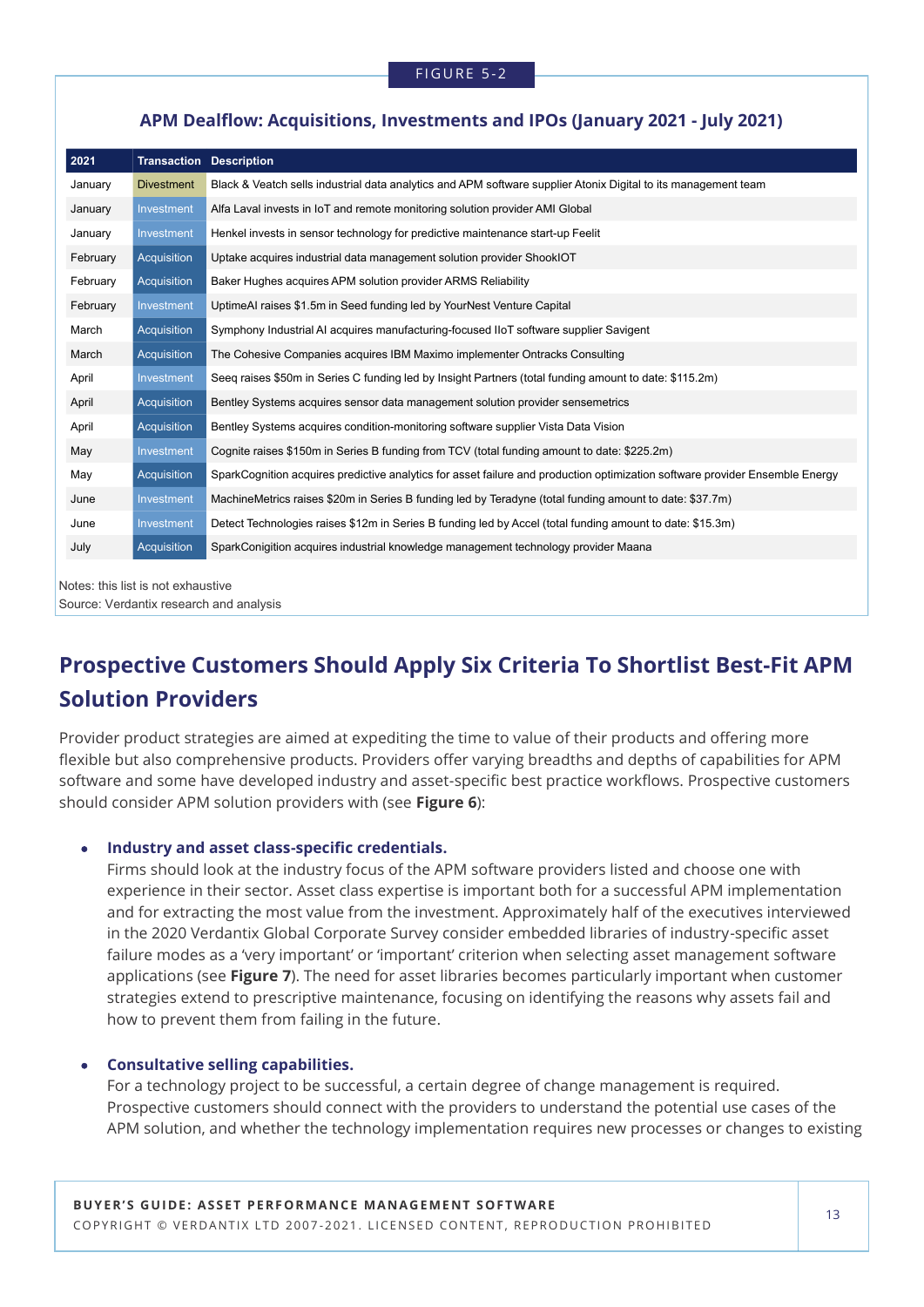### **APM Dealflow: Acquisitions, Investments and IPOs (January 2021 - July 2021)**

| 2021     | <b>Transaction Description</b> |                                                                                                                              |
|----------|--------------------------------|------------------------------------------------------------------------------------------------------------------------------|
| January  | <b>Divestment</b>              | Black & Veatch sells industrial data analytics and APM software supplier Atonix Digital to its management team               |
| January  | Investment                     | Alfa Laval invests in IoT and remote monitoring solution provider AMI Global                                                 |
| January  | Investment                     | Henkel invests in sensor technology for predictive maintenance start-up Feelit                                               |
| February | Acquisition                    | Uptake acquires industrial data management solution provider ShookIOT                                                        |
| February | Acquisition                    | Baker Hughes acquires APM solution provider ARMS Reliability                                                                 |
| February | Investment                     | UptimeAI raises \$1.5m in Seed funding led by YourNest Venture Capital                                                       |
| March    | Acquisition                    | Symphony Industrial AI acquires manufacturing-focused IIoT software supplier Savigent                                        |
| March    | Acquisition                    | The Cohesive Companies acquires IBM Maximo implementer Ontracks Consulting                                                   |
| April    | Investment                     | Seeq raises \$50m in Series C funding led by Insight Partners (total funding amount to date: \$115.2m)                       |
| April    | Acquisition                    | Bentley Systems acquires sensor data management solution provider sensemetrics                                               |
| April    | Acquisition                    | Bentley Systems acquires condition-monitoring software supplier Vista Data Vision                                            |
| May      | Investment                     | Cognite raises \$150m in Series B funding from TCV (total funding amount to date: \$225.2m)                                  |
| May      | Acquisition                    | SparkCognition acquires predictive analytics for asset failure and production optimization software provider Ensemble Energy |
| June     | Investment                     | MachineMetrics raises \$20m in Series B funding led by Teradyne (total funding amount to date: \$37.7m)                      |
| June     | Investment                     | Detect Technologies raises \$12m in Series B funding led by Accel (total funding amount to date: \$15.3m)                    |
| July     | Acquisition                    | SparkConigition acquires industrial knowledge management technology provider Maana                                           |

Notes: this list is not exhaustive

Source: Verdantix research and analysis

# **Prospective Customers Should Apply Six Criteria To Shortlist Best-Fit APM Solution Providers**

Provider product strategies are aimed at expediting the time to value of their products and offering more flexible but also comprehensive products. Providers offer varying breadths and depths of capabilities for APM software and some have developed industry and asset-specific best practice workflows. Prospective customers should consider APM solution providers with (see **Figure 6**):

### • **Industry and asset class-specific credentials.**

Firms should look at the industry focus of the APM software providers listed and choose one with experience in their sector. Asset class expertise is important both for a successful APM implementation and for extracting the most value from the investment. Approximately half of the executives interviewed in the 2020 Verdantix Global Corporate Survey consider embedded libraries of industry-specific asset failure modes as a 'very important' or 'important' criterion when selecting asset management software applications (see **Figure 7**). The need for asset libraries becomes particularly important when customer strategies extend to prescriptive maintenance, focusing on identifying the reasons why assets fail and how to prevent them from failing in the future.

### • **Consultative selling capabilities.**

For a technology project to be successful, a certain degree of change management is required. Prospective customers should connect with the providers to understand the potential use cases of the APM solution, and whether the technology implementation requires new processes or changes to existing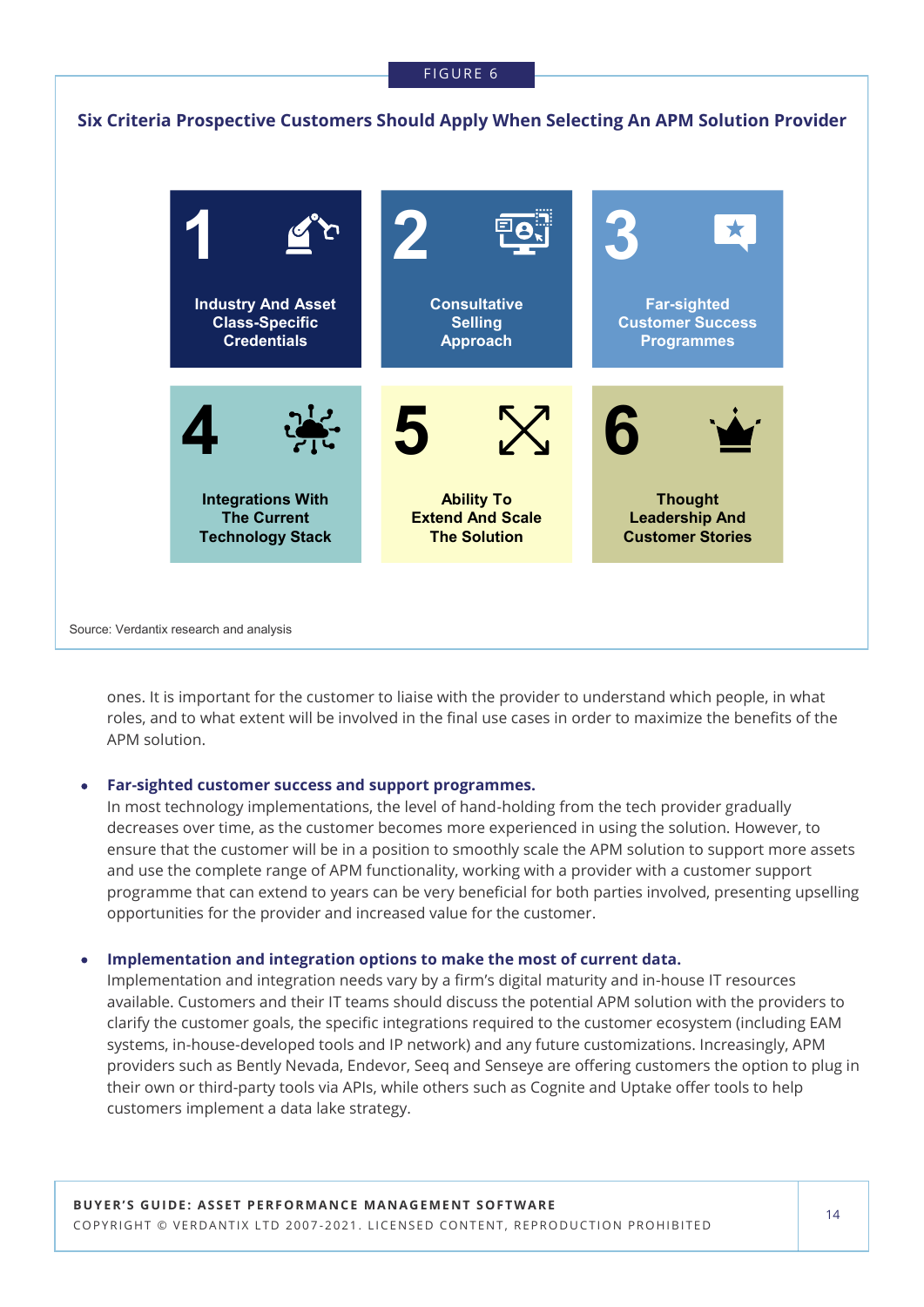### FIGURE 6



ones. It is important for the customer to liaise with the provider to understand which people, in what roles, and to what extent will be involved in the final use cases in order to maximize the benefits of the APM solution.

### • **Far-sighted customer success and support programmes.**

In most technology implementations, the level of hand-holding from the tech provider gradually decreases over time, as the customer becomes more experienced in using the solution. However, to ensure that the customer will be in a position to smoothly scale the APM solution to support more assets and use the complete range of APM functionality, working with a provider with a customer support programme that can extend to years can be very beneficial for both parties involved, presenting upselling opportunities for the provider and increased value for the customer.

### • **Implementation and integration options to make the most of current data.**

Implementation and integration needs vary by a firm's digital maturity and in-house IT resources available. Customers and their IT teams should discuss the potential APM solution with the providers to clarify the customer goals, the specific integrations required to the customer ecosystem (including EAM systems, in-house-developed tools and IP network) and any future customizations. Increasingly, APM providers such as Bently Nevada, Endevor, Seeq and Senseye are offering customers the option to plug in their own or third-party tools via APIs, while others such as Cognite and Uptake offer tools to help customers implement a data lake strategy.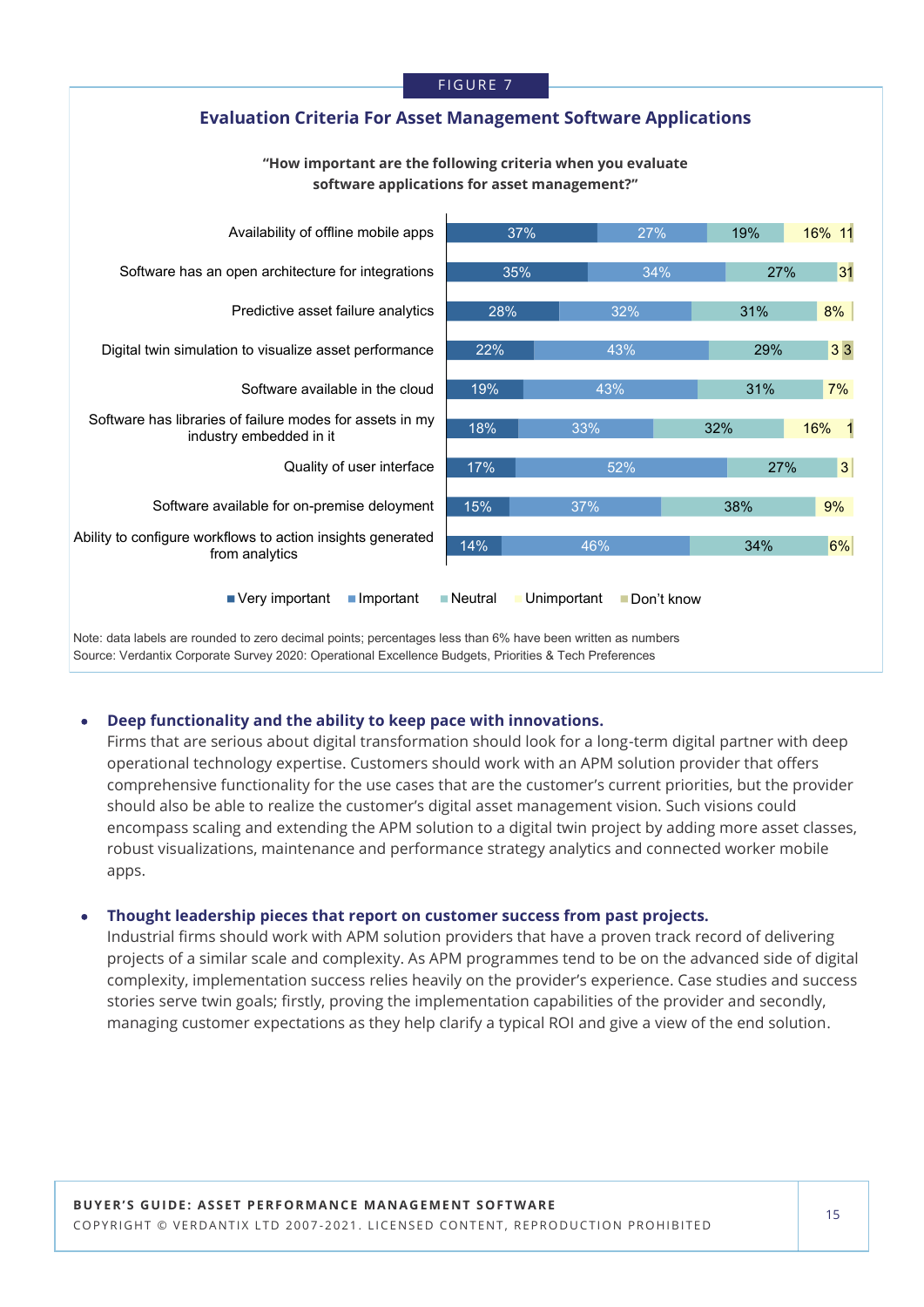

Source: Verdantix Corporate Survey 2020: Operational Excellence Budgets, Priorities & Tech Preferences

### • **Deep functionality and the ability to keep pace with innovations.**

Firms that are serious about digital transformation should look for a long-term digital partner with deep operational technology expertise. Customers should work with an APM solution provider that offers comprehensive functionality for the use cases that are the customer's current priorities, but the provider should also be able to realize the customer's digital asset management vision. Such visions could encompass scaling and extending the APM solution to a digital twin project by adding more asset classes, robust visualizations, maintenance and performance strategy analytics and connected worker mobile apps.

### • **Thought leadership pieces that report on customer success from past projects.**

Industrial firms should work with APM solution providers that have a proven track record of delivering projects of a similar scale and complexity. As APM programmes tend to be on the advanced side of digital complexity, implementation success relies heavily on the provider's experience. Case studies and success stories serve twin goals; firstly, proving the implementation capabilities of the provider and secondly, managing customer expectations as they help clarify a typical ROI and give a view of the end solution.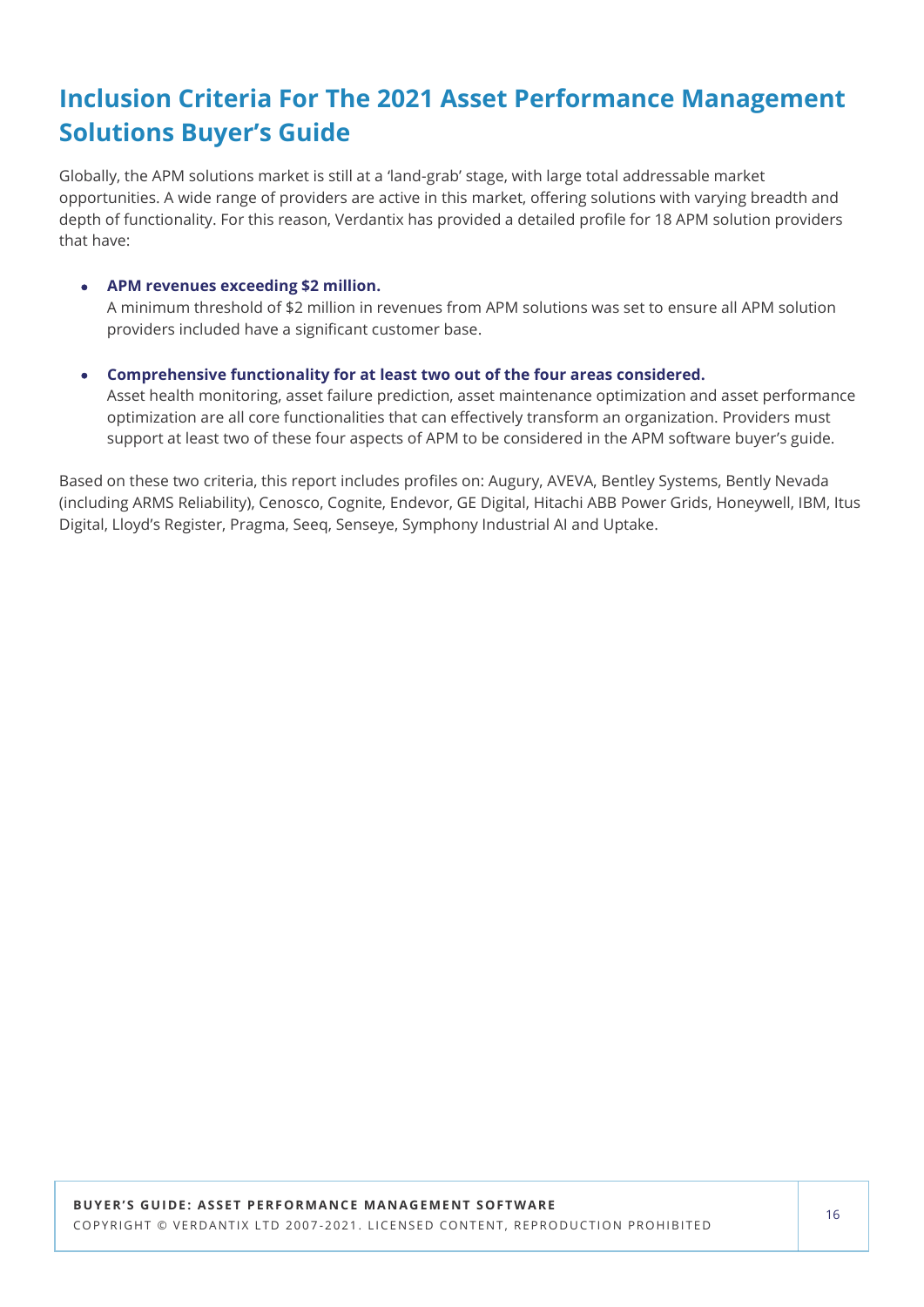# **Inclusion Criteria For The 2021 Asset Performance Management Solutions Buyer's Guide**

Globally, the APM solutions market is still at a 'land-grab' stage, with large total addressable market opportunities. A wide range of providers are active in this market, offering solutions with varying breadth and depth of functionality. For this reason, Verdantix has provided a detailed profile for 18 APM solution providers that have:

### • **APM revenues exceeding \$2 million.**

A minimum threshold of \$2 million in revenues from APM solutions was set to ensure all APM solution providers included have a significant customer base.

• **Comprehensive functionality for at least two out of the four areas considered.** Asset health monitoring, asset failure prediction, asset maintenance optimization and asset performance optimization are all core functionalities that can effectively transform an organization. Providers must support at least two of these four aspects of APM to be considered in the APM software buyer's guide.

Based on these two criteria, this report includes profiles on: Augury, AVEVA, Bentley Systems, Bently Nevada (including ARMS Reliability), Cenosco, Cognite, Endevor, GE Digital, Hitachi ABB Power Grids, Honeywell, IBM, Itus Digital, Lloyd's Register, Pragma, Seeq, Senseye, Symphony Industrial AI and Uptake.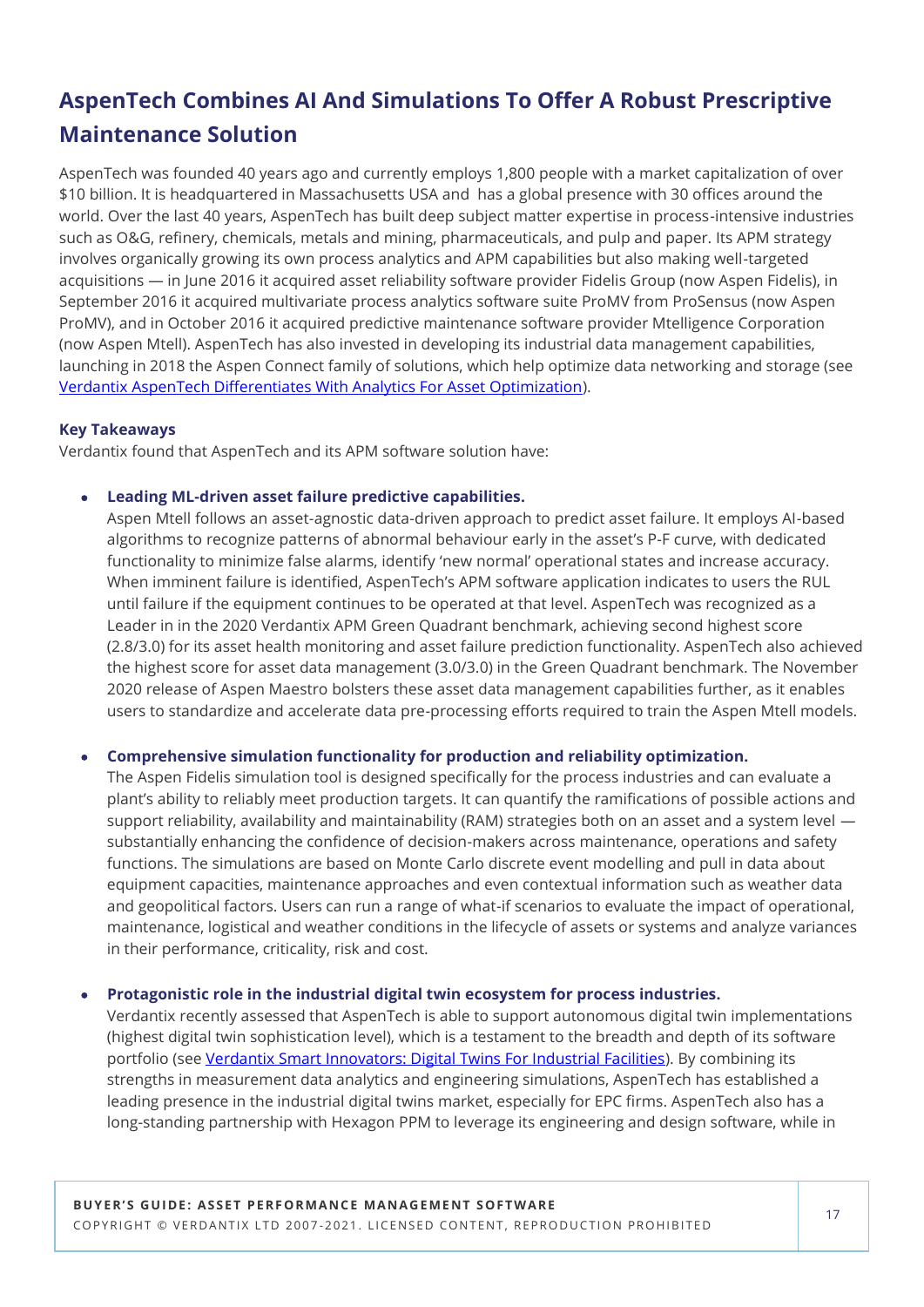# **AspenTech Combines AI And Simulations To Offer A Robust Prescriptive Maintenance Solution**

AspenTech was founded 40 years ago and currently employs 1,800 people with a market capitalization of over \$10 billion. It is headquartered in Massachusetts USA and has a global presence with 30 offices around the world. Over the last 40 years, AspenTech has built deep subject matter expertise in process-intensive industries such as O&G, refinery, chemicals, metals and mining, pharmaceuticals, and pulp and paper. Its APM strategy involves organically growing its own process analytics and APM capabilities but also making well-targeted acquisitions — in June 2016 it acquired asset reliability software provider Fidelis Group (now Aspen Fidelis), in September 2016 it acquired multivariate process analytics software suite ProMV from ProSensus (now Aspen ProMV), and in October 2016 it acquired predictive maintenance software provider Mtelligence Corporation (now Aspen Mtell). AspenTech has also invested in developing its industrial data management capabilities, launching in 2018 the Aspen Connect family of solutions, which help optimize data networking and storage (see [Verdantix AspenTech Differentiates With Analytics For Asset Optimization\)](https://research.verdantix.com/report/aspentech-differentiates-with-analytics-for-asset-optimization).

### **Key Takeaways**

Verdantix found that AspenTech and its APM software solution have:

### • **Leading ML-driven asset failure predictive capabilities.**

Aspen Mtell follows an asset-agnostic data-driven approach to predict asset failure. It employs AI-based algorithms to recognize patterns of abnormal behaviour early in the asset's P-F curve, with dedicated functionality to minimize false alarms, identify 'new normal' operational states and increase accuracy. When imminent failure is identified, AspenTech's APM software application indicates to users the RUL until failure if the equipment continues to be operated at that level. AspenTech was recognized as a Leader in in the 2020 Verdantix APM Green Quadrant benchmark, achieving second highest score (2.8/3.0) for its asset health monitoring and asset failure prediction functionality. AspenTech also achieved the highest score for asset data management (3.0/3.0) in the Green Quadrant benchmark. The November 2020 release of Aspen Maestro bolsters these asset data management capabilities further, as it enables users to standardize and accelerate data pre-processing efforts required to train the Aspen Mtell models.

### • **Comprehensive simulation functionality for production and reliability optimization.**

The Aspen Fidelis simulation tool is designed specifically for the process industries and can evaluate a plant's ability to reliably meet production targets. It can quantify the ramifications of possible actions and support reliability, availability and maintainability (RAM) strategies both on an asset and a system level substantially enhancing the confidence of decision-makers across maintenance, operations and safety functions. The simulations are based on Monte Carlo discrete event modelling and pull in data about equipment capacities, maintenance approaches and even contextual information such as weather data and geopolitical factors. Users can run a range of what-if scenarios to evaluate the impact of operational, maintenance, logistical and weather conditions in the lifecycle of assets or systems and analyze variances in their performance, criticality, risk and cost.

### • **Protagonistic role in the industrial digital twin ecosystem for process industries.**

Verdantix recently assessed that AspenTech is able to support autonomous digital twin implementations (highest digital twin sophistication level), which is a testament to the breadth and depth of its software portfolio (see [Verdantix Smart Innovators: Digital Twins For Industrial Facilities\).](https://research.verdantix.com/report/smart-innovators-digital-twins-for-industrial-facilities-2021) By combining its strengths in measurement data analytics and engineering simulations, AspenTech has established a leading presence in the industrial digital twins market, especially for EPC firms. AspenTech also has a long-standing partnership with Hexagon PPM to leverage its engineering and design software, while in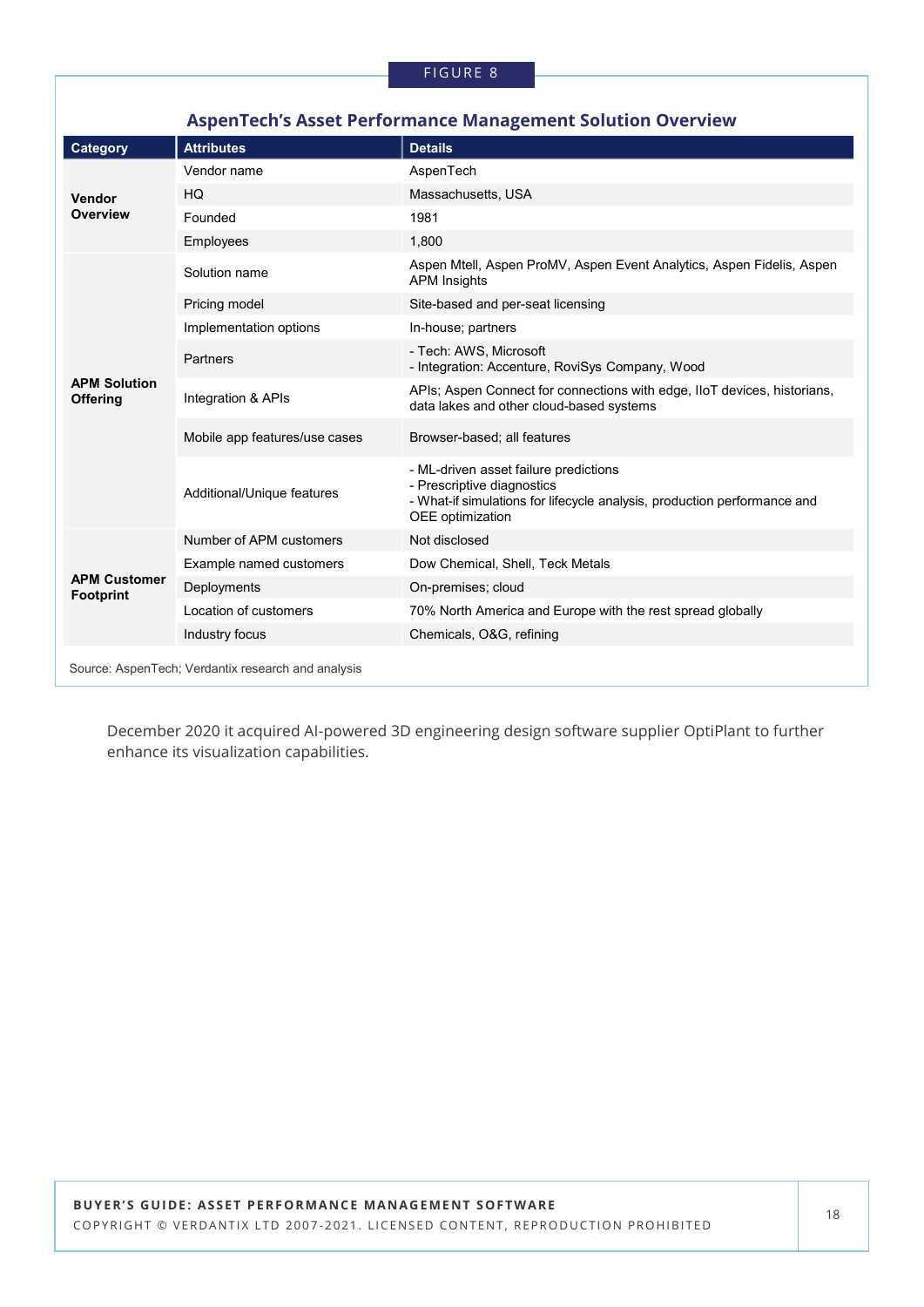| <b>AspenTech's Asset Performance Management Solution Overview</b> |                               |                                                                                                                                                                     |  |  |
|-------------------------------------------------------------------|-------------------------------|---------------------------------------------------------------------------------------------------------------------------------------------------------------------|--|--|
| Category                                                          | <b>Attributes</b>             | <b>Details</b>                                                                                                                                                      |  |  |
| Vendor<br>Overview                                                | Vendor name                   | AspenTech                                                                                                                                                           |  |  |
|                                                                   | HQ                            | Massachusetts, USA                                                                                                                                                  |  |  |
|                                                                   | Founded                       | 1981                                                                                                                                                                |  |  |
|                                                                   | Employees                     | 1,800                                                                                                                                                               |  |  |
|                                                                   | Solution name                 | Aspen Mtell, Aspen ProMV, Aspen Event Analytics, Aspen Fidelis, Aspen<br><b>APM</b> Insights                                                                        |  |  |
|                                                                   | Pricing model                 | Site-based and per-seat licensing                                                                                                                                   |  |  |
|                                                                   | Implementation options        | In-house; partners                                                                                                                                                  |  |  |
|                                                                   | Partners                      | - Tech: AWS, Microsoft<br>- Integration: Accenture, RoviSys Company, Wood                                                                                           |  |  |
| <b>APM Solution</b><br><b>Offering</b>                            | Integration & APIs            | APIs; Aspen Connect for connections with edge, IIoT devices, historians,<br>data lakes and other cloud-based systems                                                |  |  |
|                                                                   | Mobile app features/use cases | Browser-based; all features                                                                                                                                         |  |  |
|                                                                   | Additional/Unique features    | - ML-driven asset failure predictions<br>- Prescriptive diagnostics<br>- What-if simulations for lifecycle analysis, production performance and<br>OEE optimization |  |  |
|                                                                   | Number of APM customers       | Not disclosed                                                                                                                                                       |  |  |
|                                                                   | Example named customers       | Dow Chemical, Shell, Teck Metals                                                                                                                                    |  |  |
| <b>APM Customer</b><br><b>Footprint</b>                           | Deployments                   | On-premises; cloud                                                                                                                                                  |  |  |
|                                                                   | Location of customers         | 70% North America and Europe with the rest spread globally                                                                                                          |  |  |
|                                                                   | Industry focus                | Chemicals, O&G, refining                                                                                                                                            |  |  |
| Source: AspenTech; Verdantix research and analysis                |                               |                                                                                                                                                                     |  |  |

December 2020 it acquired AI-powered 3D engineering design software supplier OptiPlant to further enhance its visualization capabilities.